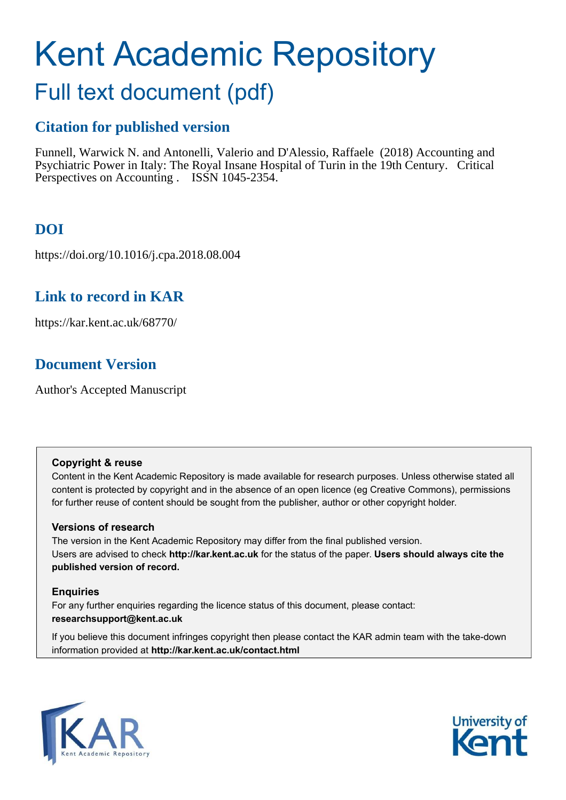# Kent Academic Repository

## Full text document (pdf)

## **Citation for published version**

Funnell, Warwick N. and Antonelli, Valerio and D'Alessio, Raffaele (2018) Accounting and Psychiatric Power in Italy: The Royal Insane Hospital of Turin in the 19th Century. Critical Perspectives on Accounting . ISSN 1045-2354.

## **DOI**

https://doi.org/10.1016/j.cpa.2018.08.004

## **Link to record in KAR**

https://kar.kent.ac.uk/68770/

## **Document Version**

Author's Accepted Manuscript

#### **Copyright & reuse**

Content in the Kent Academic Repository is made available for research purposes. Unless otherwise stated all content is protected by copyright and in the absence of an open licence (eg Creative Commons), permissions for further reuse of content should be sought from the publisher, author or other copyright holder.

#### **Versions of research**

The version in the Kent Academic Repository may differ from the final published version. Users are advised to check **http://kar.kent.ac.uk** for the status of the paper. **Users should always cite the published version of record.**

#### **Enquiries**

For any further enquiries regarding the licence status of this document, please contact: **researchsupport@kent.ac.uk**

If you believe this document infringes copyright then please contact the KAR admin team with the take-down information provided at **http://kar.kent.ac.uk/contact.html**



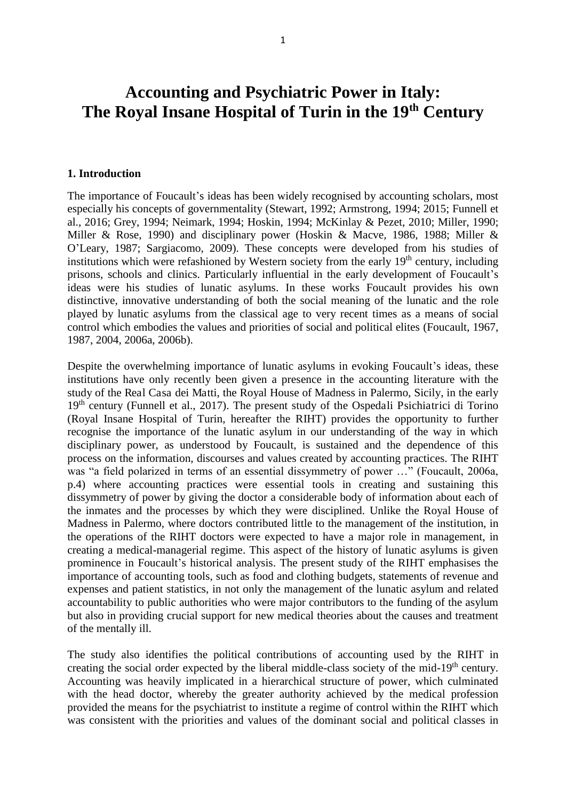## **Accounting and Psychiatric Power in Italy: The Royal Insane Hospital of Turin in the 19th Century**

#### **1. Introduction**

The importance of Foucault's ideas has been widely recognised by accounting scholars, most especially his concepts of governmentality (Stewart, 1992; Armstrong, 1994; 2015; Funnell et al., 2016; Grey, 1994; Neimark, 1994; Hoskin, 1994; McKinlay & Pezet, 2010; Miller, 1990; Miller & Rose, 1990) and disciplinary power (Hoskin & Macve, 1986, 1988; Miller & O'Leary, 1987; Sargiacomo, 2009). These concepts were developed from his studies of institutions which were refashioned by Western society from the early  $19<sup>th</sup>$  century, including prisons, schools and clinics. Particularly influential in the early development of Foucault's ideas were his studies of lunatic asylums. In these works Foucault provides his own distinctive, innovative understanding of both the social meaning of the lunatic and the role played by lunatic asylums from the classical age to very recent times as a means of social control which embodies the values and priorities of social and political elites (Foucault, 1967, 1987, 2004, 2006a, 2006b).

Despite the overwhelming importance of lunatic asylums in evoking Foucault's ideas, these institutions have only recently been given a presence in the accounting literature with the study of the Real Casa dei Matti, the Royal House of Madness in Palermo, Sicily, in the early 19<sup>th</sup> century (Funnell et al., 2017). The present study of the Ospedali Psichiatrici di Torino (Royal Insane Hospital of Turin, hereafter the RIHT) provides the opportunity to further recognise the importance of the lunatic asylum in our understanding of the way in which disciplinary power, as understood by Foucault, is sustained and the dependence of this process on the information, discourses and values created by accounting practices. The RIHT was "a field polarized in terms of an essential dissymmetry of power …" (Foucault, 2006a, p.4) where accounting practices were essential tools in creating and sustaining this dissymmetry of power by giving the doctor a considerable body of information about each of the inmates and the processes by which they were disciplined. Unlike the Royal House of Madness in Palermo, where doctors contributed little to the management of the institution, in the operations of the RIHT doctors were expected to have a major role in management, in creating a medical-managerial regime. This aspect of the history of lunatic asylums is given prominence in Foucault's historical analysis. The present study of the RIHT emphasises the importance of accounting tools, such as food and clothing budgets, statements of revenue and expenses and patient statistics, in not only the management of the lunatic asylum and related accountability to public authorities who were major contributors to the funding of the asylum but also in providing crucial support for new medical theories about the causes and treatment of the mentally ill.

The study also identifies the political contributions of accounting used by the RIHT in creating the social order expected by the liberal middle-class society of the mid-19<sup>th</sup> century. Accounting was heavily implicated in a hierarchical structure of power, which culminated with the head doctor, whereby the greater authority achieved by the medical profession provided the means for the psychiatrist to institute a regime of control within the RIHT which was consistent with the priorities and values of the dominant social and political classes in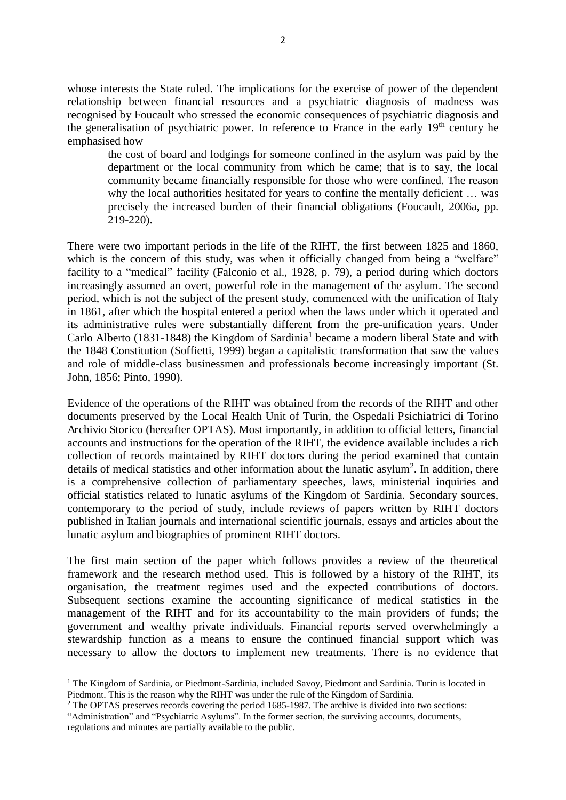whose interests the State ruled. The implications for the exercise of power of the dependent relationship between financial resources and a psychiatric diagnosis of madness was recognised by Foucault who stressed the economic consequences of psychiatric diagnosis and the generalisation of psychiatric power. In reference to France in the early  $19<sup>th</sup>$  century he emphasised how

the cost of board and lodgings for someone confined in the asylum was paid by the department or the local community from which he came; that is to say, the local community became financially responsible for those who were confined. The reason why the local authorities hesitated for years to confine the mentally deficient … was precisely the increased burden of their financial obligations (Foucault, 2006a, pp. 219-220).

There were two important periods in the life of the RIHT, the first between 1825 and 1860, which is the concern of this study, was when it officially changed from being a "welfare" facility to a "medical" facility (Falconio et al., 1928, p. 79), a period during which doctors increasingly assumed an overt, powerful role in the management of the asylum. The second period, which is not the subject of the present study, commenced with the unification of Italy in 1861, after which the hospital entered a period when the laws under which it operated and its administrative rules were substantially different from the pre-unification years. Under Carlo Alberto (1831-1848) the Kingdom of Sardinia<sup>1</sup> became a modern liberal State and with the 1848 Constitution (Soffietti, 1999) began a capitalistic transformation that saw the values and role of middle-class businessmen and professionals become increasingly important (St. John, 1856; Pinto, 1990).

Evidence of the operations of the RIHT was obtained from the records of the RIHT and other documents preserved by the Local Health Unit of Turin, the Ospedali Psichiatrici di Torino Archivio Storico (hereafter OPTAS). Most importantly, in addition to official letters, financial accounts and instructions for the operation of the RIHT, the evidence available includes a rich collection of records maintained by RIHT doctors during the period examined that contain details of medical statistics and other information about the lunatic asylum<sup>2</sup>. In addition, there is a comprehensive collection of parliamentary speeches, laws, ministerial inquiries and official statistics related to lunatic asylums of the Kingdom of Sardinia. Secondary sources, contemporary to the period of study, include reviews of papers written by RIHT doctors published in Italian journals and international scientific journals, essays and articles about the lunatic asylum and biographies of prominent RIHT doctors.

The first main section of the paper which follows provides a review of the theoretical framework and the research method used. This is followed by a history of the RIHT, its organisation, the treatment regimes used and the expected contributions of doctors. Subsequent sections examine the accounting significance of medical statistics in the management of the RIHT and for its accountability to the main providers of funds; the government and wealthy private individuals. Financial reports served overwhelmingly a stewardship function as a means to ensure the continued financial support which was necessary to allow the doctors to implement new treatments. There is no evidence that

 $\overline{a}$ 

<sup>&</sup>lt;sup>1</sup> The Kingdom of Sardinia, or Piedmont-Sardinia, included Savoy, Piedmont and Sardinia. Turin is located in Piedmont. This is the reason why the RIHT was under the rule of the Kingdom of Sardinia.

<sup>&</sup>lt;sup>2</sup> The OPTAS preserves records covering the period 1685-1987. The archive is divided into two sections:

<sup>&</sup>quot;Administration" and "Psychiatric Asylums". In the former section, the surviving accounts, documents,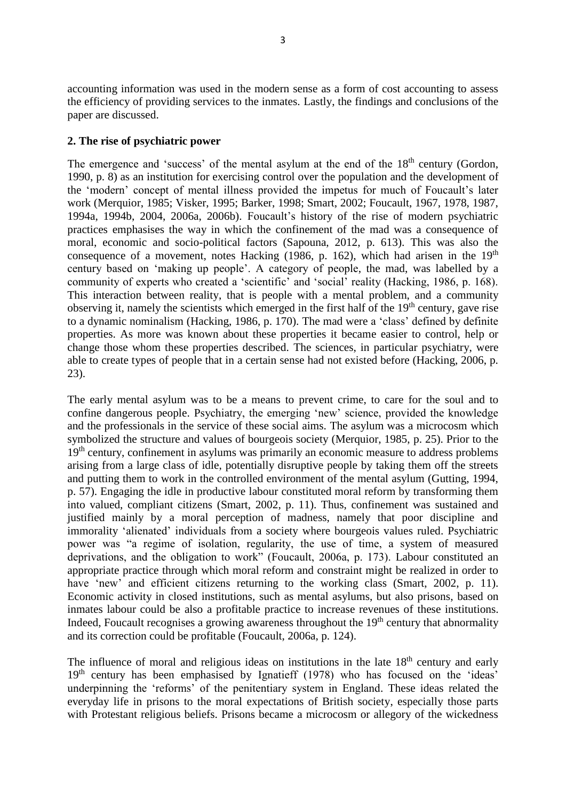accounting information was used in the modern sense as a form of cost accounting to assess the efficiency of providing services to the inmates. Lastly, the findings and conclusions of the paper are discussed.

#### **2. The rise of psychiatric power**

The emergence and 'success' of the mental asylum at the end of the  $18<sup>th</sup>$  century (Gordon, 1990, p. 8) as an institution for exercising control over the population and the development of the 'modern' concept of mental illness provided the impetus for much of Foucault's later work (Merquior, 1985; Visker, 1995; Barker, 1998; Smart, 2002; Foucault, 1967, 1978, 1987, 1994a, 1994b, 2004, 2006a, 2006b). Foucault's history of the rise of modern psychiatric practices emphasises the way in which the confinement of the mad was a consequence of moral, economic and socio-political factors (Sapouna, 2012, p. 613). This was also the consequence of a movement, notes Hacking  $(1986, p. 162)$ , which had arisen in the  $19<sup>th</sup>$ century based on 'making up people'. A category of people, the mad, was labelled by a community of experts who created a 'scientific' and 'social' reality (Hacking, 1986, p. 168). This interaction between reality, that is people with a mental problem, and a community observing it, namely the scientists which emerged in the first half of the  $19<sup>th</sup>$  century, gave rise to a dynamic nominalism (Hacking, 1986, p. 170). The mad were a 'class' defined by definite properties. As more was known about these properties it became easier to control, help or change those whom these properties described. The sciences, in particular psychiatry, were able to create types of people that in a certain sense had not existed before (Hacking, 2006, p. 23).

The early mental asylum was to be a means to prevent crime, to care for the soul and to confine dangerous people. Psychiatry, the emerging 'new' science, provided the knowledge and the professionals in the service of these social aims. The asylum was a microcosm which symbolized the structure and values of bourgeois society (Merquior, 1985, p. 25). Prior to the 19<sup>th</sup> century, confinement in asylums was primarily an economic measure to address problems arising from a large class of idle, potentially disruptive people by taking them off the streets and putting them to work in the controlled environment of the mental asylum (Gutting, 1994, p. 57). Engaging the idle in productive labour constituted moral reform by transforming them into valued, compliant citizens (Smart, 2002, p. 11). Thus, confinement was sustained and justified mainly by a moral perception of madness, namely that poor discipline and immorality 'alienated' individuals from a society where bourgeois values ruled. Psychiatric power was "a regime of isolation, regularity, the use of time, a system of measured deprivations, and the obligation to work" (Foucault, 2006a, p. 173). Labour constituted an appropriate practice through which moral reform and constraint might be realized in order to have 'new' and efficient citizens returning to the working class (Smart, 2002, p. 11). Economic activity in closed institutions, such as mental asylums, but also prisons, based on inmates labour could be also a profitable practice to increase revenues of these institutions. Indeed, Foucault recognises a growing awareness throughout the  $19<sup>th</sup>$  century that abnormality and its correction could be profitable (Foucault, 2006a, p. 124).

The influence of moral and religious ideas on institutions in the late  $18<sup>th</sup>$  century and early 19<sup>th</sup> century has been emphasised by Ignatieff (1978) who has focused on the 'ideas' underpinning the 'reforms' of the penitentiary system in England. These ideas related the everyday life in prisons to the moral expectations of British society, especially those parts with Protestant religious beliefs. Prisons became a microcosm or allegory of the wickedness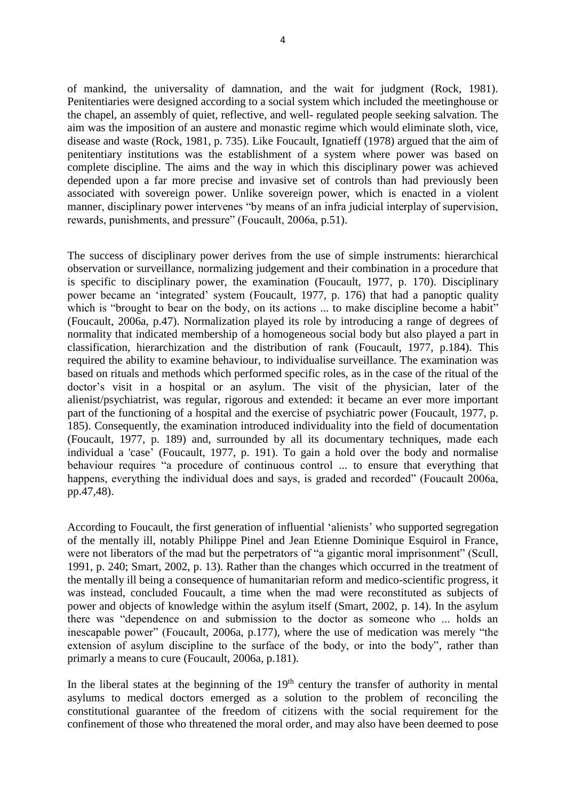of mankind, the universality of damnation, and the wait for judgment (Rock, 1981). Penitentiaries were designed according to a social system which included the meetinghouse or

the chapel, an assembly of quiet, reflective, and well- regulated people seeking salvation. The aim was the imposition of an austere and monastic regime which would eliminate sloth, vice, disease and waste (Rock, 1981, p. 735). Like Foucault, Ignatieff (1978) argued that the aim of penitentiary institutions was the establishment of a system where power was based on complete discipline. The aims and the way in which this disciplinary power was achieved depended upon a far more precise and invasive set of controls than had previously been associated with sovereign power. Unlike sovereign power, which is enacted in a violent manner, disciplinary power intervenes "by means of an infra judicial interplay of supervision, rewards, punishments, and pressure" (Foucault, 2006a, p.51).

The success of disciplinary power derives from the use of simple instruments: hierarchical observation or surveillance, normalizing judgement and their combination in a procedure that is specific to disciplinary power, the examination (Foucault, 1977, p. 170). Disciplinary power became an 'integrated' system (Foucault, 1977, p. 176) that had a panoptic quality which is "brought to bear on the body, on its actions ... to make discipline become a habit" (Foucault, 2006a, p.47). Normalization played its role by introducing a range of degrees of normality that indicated membership of a homogeneous social body but also played a part in classification, hierarchization and the distribution of rank (Foucault, 1977, p.184). This required the ability to examine behaviour, to individualise surveillance. The examination was based on rituals and methods which performed specific roles, as in the case of the ritual of the doctor's visit in a hospital or an asylum. The visit of the physician, later of the alienist/psychiatrist, was regular, rigorous and extended: it became an ever more important part of the functioning of a hospital and the exercise of psychiatric power (Foucault, 1977, p. 185). Consequently, the examination introduced individuality into the field of documentation (Foucault, 1977, p. 189) and, surrounded by all its documentary techniques, made each individual a 'case' (Foucault, 1977, p. 191). To gain a hold over the body and normalise behaviour requires "a procedure of continuous control ... to ensure that everything that happens, everything the individual does and says, is graded and recorded" (Foucault 2006a, pp.47,48).

According to Foucault, the first generation of influential 'alienists' who supported segregation of the mentally ill, notably Philippe Pinel and Jean Etienne Dominique Esquirol in France, were not liberators of the mad but the perpetrators of "a gigantic moral imprisonment" (Scull, 1991, p. 240; Smart, 2002, p. 13). Rather than the changes which occurred in the treatment of the mentally ill being a consequence of humanitarian reform and medico-scientific progress, it was instead, concluded Foucault, a time when the mad were reconstituted as subjects of power and objects of knowledge within the asylum itself (Smart, 2002, p. 14). In the asylum there was "dependence on and submission to the doctor as someone who ... holds an inescapable power" (Foucault, 2006a, p.177), where the use of medication was merely "the extension of asylum discipline to the surface of the body, or into the body", rather than primarly a means to cure (Foucault, 2006a, p.181).

In the liberal states at the beginning of the  $19<sup>th</sup>$  century the transfer of authority in mental asylums to medical doctors emerged as a solution to the problem of reconciling the constitutional guarantee of the freedom of citizens with the social requirement for the confinement of those who threatened the moral order, and may also have been deemed to pose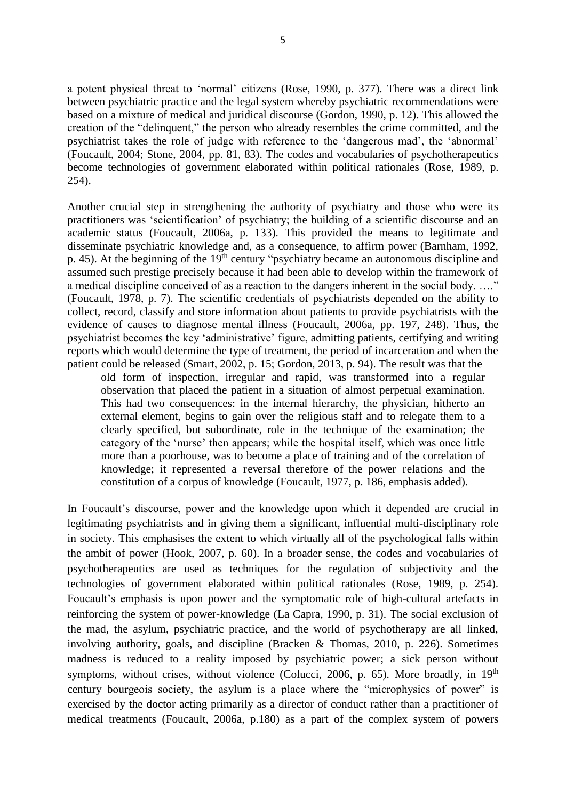a potent physical threat to 'normal' citizens (Rose, 1990, p. 377). There was a direct link between psychiatric practice and the legal system whereby psychiatric recommendations were based on a mixture of medical and juridical discourse (Gordon, 1990, p. 12). This allowed the creation of the "delinquent," the person who already resembles the crime committed, and the psychiatrist takes the role of judge with reference to the 'dangerous mad', the 'abnormal' (Foucault, 2004; Stone, 2004, pp. 81, 83). The codes and vocabularies of psychotherapeutics become technologies of government elaborated within political rationales (Rose, 1989, p. 254).

Another crucial step in strengthening the authority of psychiatry and those who were its practitioners was 'scientification' of psychiatry; the building of a scientific discourse and an academic status (Foucault, 2006a, p. 133). This provided the means to legitimate and disseminate psychiatric knowledge and, as a consequence, to affirm power (Barnham, 1992, p. 45). At the beginning of the 19<sup>th</sup> century "psychiatry became an autonomous discipline and assumed such prestige precisely because it had been able to develop within the framework of a medical discipline conceived of as a reaction to the dangers inherent in the social body. ...." (Foucault, 1978, p. 7). The scientific credentials of psychiatrists depended on the ability to collect, record, classify and store information about patients to provide psychiatrists with the evidence of causes to diagnose mental illness (Foucault, 2006a, pp. 197, 248). Thus, the psychiatrist becomes the key 'administrative' figure, admitting patients, certifying and writing reports which would determine the type of treatment, the period of incarceration and when the patient could be released (Smart, 2002, p. 15; Gordon, 2013, p. 94). The result was that the

old form of inspection, irregular and rapid, was transformed into a regular observation that placed the patient in a situation of almost perpetual examination. This had two consequences: in the internal hierarchy, the physician, hitherto an external element, begins to gain over the religious staff and to relegate them to a clearly specified, but subordinate, role in the technique of the examination; the category of the 'nurse' then appears; while the hospital itself, which was once little more than a poorhouse, was to become a place of training and of the correlation of knowledge; it represented a reversal therefore of the power relations and the constitution of a corpus of knowledge (Foucault, 1977, p. 186, emphasis added).

In Foucault's discourse, power and the knowledge upon which it depended are crucial in legitimating psychiatrists and in giving them a significant, influential multi-disciplinary role in society. This emphasises the extent to which virtually all of the psychological falls within the ambit of power (Hook, 2007, p. 60). In a broader sense, the codes and vocabularies of psychotherapeutics are used as techniques for the regulation of subjectivity and the technologies of government elaborated within political rationales (Rose, 1989, p. 254). Foucault's emphasis is upon power and the symptomatic role of high-cultural artefacts in reinforcing the system of power-knowledge (La Capra, 1990, p. 31). The social exclusion of the mad, the asylum, psychiatric practice, and the world of psychotherapy are all linked, involving authority, goals, and discipline (Bracken & Thomas, 2010, p. 226). Sometimes madness is reduced to a reality imposed by psychiatric power; a sick person without symptoms, without crises, without violence (Colucci, 2006, p.  $65$ ). More broadly, in  $19<sup>th</sup>$ century bourgeois society, the asylum is a place where the "microphysics of power" is exercised by the doctor acting primarily as a director of conduct rather than a practitioner of medical treatments (Foucault, 2006a, p.180) as a part of the complex system of powers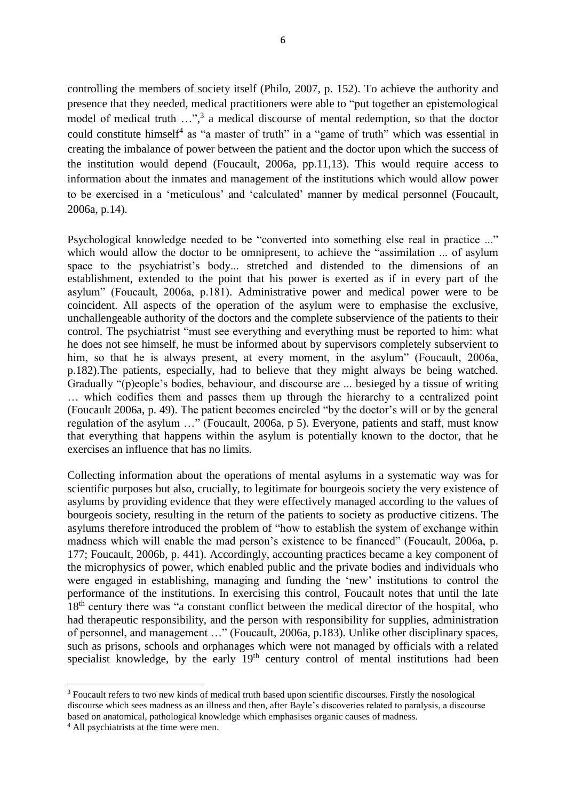controlling the members of society itself (Philo, 2007, p. 152). To achieve the authority and presence that they needed, medical practitioners were able to "put together an epistemological model of medical truth ...",<sup>3</sup> a medical discourse of mental redemption, so that the doctor could constitute himself<sup>4</sup> as "a master of truth" in a "game of truth" which was essential in creating the imbalance of power between the patient and the doctor upon which the success of the institution would depend (Foucault, 2006a, pp.11,13). This would require access to information about the inmates and management of the institutions which would allow power to be exercised in a 'meticulous' and 'calculated' manner by medical personnel (Foucault, 2006a, p.14).

Psychological knowledge needed to be "converted into something else real in practice ..." which would allow the doctor to be omnipresent, to achieve the "assimilation ... of asylum space to the psychiatrist's body... stretched and distended to the dimensions of an establishment, extended to the point that his power is exerted as if in every part of the asylum" (Foucault, 2006a, p.181). Administrative power and medical power were to be coincident. All aspects of the operation of the asylum were to emphasise the exclusive, unchallengeable authority of the doctors and the complete subservience of the patients to their control. The psychiatrist "must see everything and everything must be reported to him: what he does not see himself, he must be informed about by supervisors completely subservient to him, so that he is always present, at every moment, in the asylum" (Foucault, 2006a, p.182).The patients, especially, had to believe that they might always be being watched. Gradually "(p)eople's bodies, behaviour, and discourse are ... besieged by a tissue of writing … which codifies them and passes them up through the hierarchy to a centralized point (Foucault 2006a, p. 49). The patient becomes encircled "by the doctor's will or by the general regulation of the asylum …" (Foucault, 2006a, p 5). Everyone, patients and staff, must know that everything that happens within the asylum is potentially known to the doctor, that he exercises an influence that has no limits.

Collecting information about the operations of mental asylums in a systematic way was for scientific purposes but also, crucially, to legitimate for bourgeois society the very existence of asylums by providing evidence that they were effectively managed according to the values of bourgeois society, resulting in the return of the patients to society as productive citizens. The asylums therefore introduced the problem of "how to establish the system of exchange within madness which will enable the mad person's existence to be financed" (Foucault, 2006a, p. 177; Foucault, 2006b, p. 441). Accordingly, accounting practices became a key component of the microphysics of power, which enabled public and the private bodies and individuals who were engaged in establishing, managing and funding the 'new' institutions to control the performance of the institutions. In exercising this control, Foucault notes that until the late 18<sup>th</sup> century there was "a constant conflict between the medical director of the hospital, who had therapeutic responsibility, and the person with responsibility for supplies, administration of personnel, and management …" (Foucault, 2006a, p.183). Unlike other disciplinary spaces, such as prisons, schools and orphanages which were not managed by officials with a related specialist knowledge, by the early  $19<sup>th</sup>$  century control of mental institutions had been

l

<sup>&</sup>lt;sup>3</sup> Foucault refers to two new kinds of medical truth based upon scientific discourses. Firstly the nosological discourse which sees madness as an illness and then, after Bayle's discoveries related to paralysis, a discourse based on anatomical, pathological knowledge which emphasises organic causes of madness.

<sup>&</sup>lt;sup>4</sup> All psychiatrists at the time were men.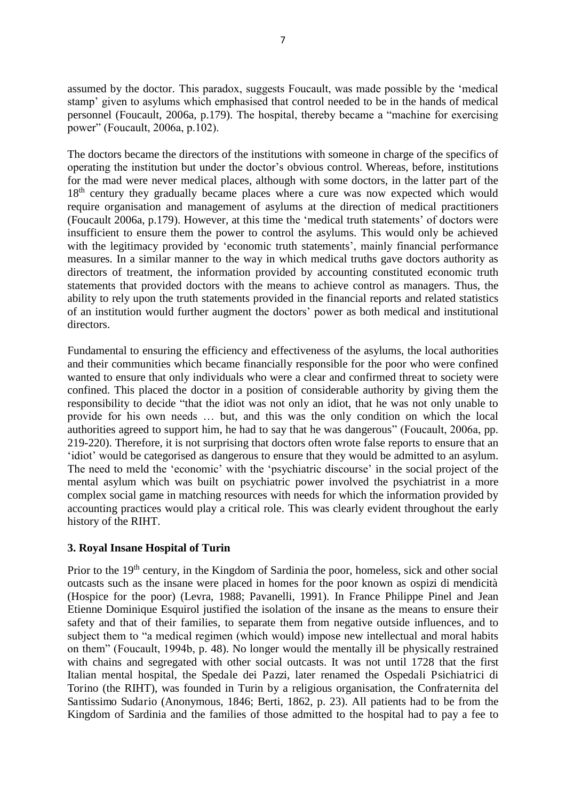assumed by the doctor. This paradox, suggests Foucault, was made possible by the 'medical stamp' given to asylums which emphasised that control needed to be in the hands of medical personnel (Foucault, 2006a, p.179). The hospital, thereby became a "machine for exercising power" (Foucault, 2006a, p.102).

The doctors became the directors of the institutions with someone in charge of the specifics of operating the institution but under the doctor's obvious control. Whereas, before, institutions for the mad were never medical places, although with some doctors, in the latter part of the 18<sup>th</sup> century they gradually became places where a cure was now expected which would require organisation and management of asylums at the direction of medical practitioners (Foucault 2006a, p.179). However, at this time the 'medical truth statements' of doctors were insufficient to ensure them the power to control the asylums. This would only be achieved with the legitimacy provided by 'economic truth statements', mainly financial performance measures. In a similar manner to the way in which medical truths gave doctors authority as directors of treatment, the information provided by accounting constituted economic truth statements that provided doctors with the means to achieve control as managers. Thus, the ability to rely upon the truth statements provided in the financial reports and related statistics of an institution would further augment the doctors' power as both medical and institutional directors.

Fundamental to ensuring the efficiency and effectiveness of the asylums, the local authorities and their communities which became financially responsible for the poor who were confined wanted to ensure that only individuals who were a clear and confirmed threat to society were confined. This placed the doctor in a position of considerable authority by giving them the responsibility to decide "that the idiot was not only an idiot, that he was not only unable to provide for his own needs … but, and this was the only condition on which the local authorities agreed to support him, he had to say that he was dangerous" (Foucault, 2006a, pp. 219-220). Therefore, it is not surprising that doctors often wrote false reports to ensure that an 'idiot' would be categorised as dangerous to ensure that they would be admitted to an asylum. The need to meld the 'economic' with the 'psychiatric discourse' in the social project of the mental asylum which was built on psychiatric power involved the psychiatrist in a more complex social game in matching resources with needs for which the information provided by accounting practices would play a critical role. This was clearly evident throughout the early history of the RIHT.

#### **3. Royal Insane Hospital of Turin**

Prior to the 19<sup>th</sup> century, in the Kingdom of Sardinia the poor, homeless, sick and other social outcasts such as the insane were placed in homes for the poor known as ospizi di mendicità (Hospice for the poor) (Levra, 1988; Pavanelli, 1991). In France Philippe Pinel and Jean Etienne Dominique Esquirol justified the isolation of the insane as the means to ensure their safety and that of their families, to separate them from negative outside influences, and to subject them to "a medical regimen (which would) impose new intellectual and moral habits on them" (Foucault, 1994b, p. 48). No longer would the mentally ill be physically restrained with chains and segregated with other social outcasts. It was not until 1728 that the first Italian mental hospital, the Spedale dei Pazzi, later renamed the Ospedali Psichiatrici di Torino (the RIHT), was founded in Turin by a religious organisation, the Confraternita del Santissimo Sudario (Anonymous, 1846; Berti, 1862, p. 23). All patients had to be from the Kingdom of Sardinia and the families of those admitted to the hospital had to pay a fee to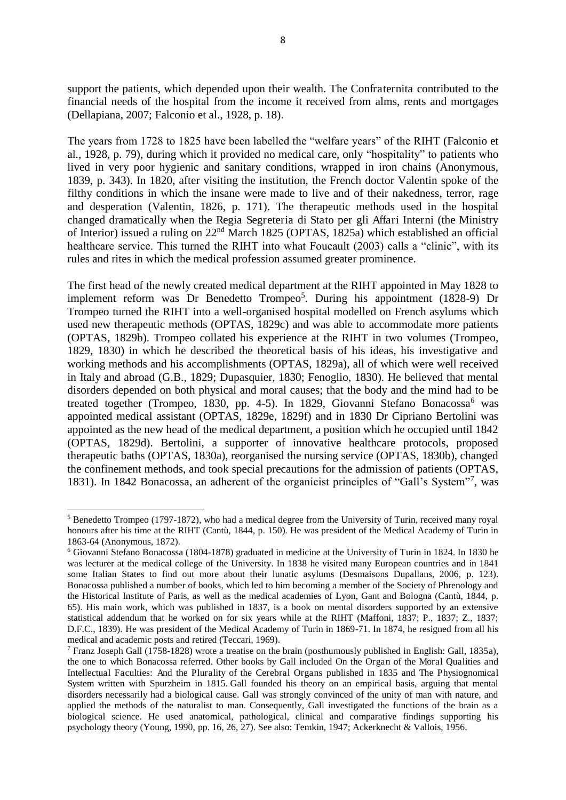support the patients, which depended upon their wealth. The Confraternita contributed to the financial needs of the hospital from the income it received from alms, rents and mortgages (Dellapiana, 2007; Falconio et al., 1928, p. 18).

The years from 1728 to 1825 have been labelled the "welfare years" of the RIHT (Falconio et al., 1928, p. 79), during which it provided no medical care, only "hospitality" to patients who lived in very poor hygienic and sanitary conditions, wrapped in iron chains (Anonymous, 1839, p. 343). In 1820, after visiting the institution, the French doctor Valentin spoke of the filthy conditions in which the insane were made to live and of their nakedness, terror, rage and desperation (Valentin, 1826, p. 171). The therapeutic methods used in the hospital changed dramatically when the Regia Segreteria di Stato per gli Affari Interni (the Ministry of Interior) issued a ruling on  $22<sup>nd</sup>$  March 1825 (OPTAS, 1825a) which established an official healthcare service. This turned the RIHT into what Foucault (2003) calls a "clinic", with its rules and rites in which the medical profession assumed greater prominence.

The first head of the newly created medical department at the RIHT appointed in May 1828 to implement reform was Dr Benedetto Trompeo<sup>5</sup>. During his appointment (1828-9) Dr Trompeo turned the RIHT into a well-organised hospital modelled on French asylums which used new therapeutic methods (OPTAS, 1829c) and was able to accommodate more patients (OPTAS, 1829b). Trompeo collated his experience at the RIHT in two volumes (Trompeo, 1829, 1830) in which he described the theoretical basis of his ideas, his investigative and working methods and his accomplishments (OPTAS, 1829a), all of which were well received in Italy and abroad (G.B., 1829; Dupasquier, 1830; Fenoglio, 1830). He believed that mental disorders depended on both physical and moral causes; that the body and the mind had to be treated together (Trompeo, 1830, pp. 4-5). In 1829, Giovanni Stefano Bonacossa<sup>6</sup> was appointed medical assistant (OPTAS, 1829e, 1829f) and in 1830 Dr Cipriano Bertolini was appointed as the new head of the medical department, a position which he occupied until 1842 (OPTAS, 1829d). Bertolini, a supporter of innovative healthcare protocols, proposed therapeutic baths (OPTAS, 1830a), reorganised the nursing service (OPTAS, 1830b), changed the confinement methods, and took special precautions for the admission of patients (OPTAS, 1831). In 1842 Bonacossa, an adherent of the organicist principles of "Gall's System"7, was

l

<sup>&</sup>lt;sup>5</sup> Benedetto Trompeo (1797-1872), who had a medical degree from the University of Turin, received many royal honours after his time at the RIHT (Cantù, 1844, p. 150). He was president of the Medical Academy of Turin in 1863-64 (Anonymous, 1872).

<sup>6</sup> Giovanni Stefano Bonacossa (1804-1878) graduated in medicine at the University of Turin in 1824. In 1830 he was lecturer at the medical college of the University. In 1838 he visited many European countries and in 1841 some Italian States to find out more about their lunatic asylums (Desmaisons Dupallans, 2006, p. 123). Bonacossa published a number of books, which led to him becoming a member of the Society of Phrenology and the Historical Institute of Paris, as well as the medical academies of Lyon, Gant and Bologna (Cantù, 1844, p. 65). His main work, which was published in 1837, is a book on mental disorders supported by an extensive statistical addendum that he worked on for six years while at the RIHT (Maffoni, 1837; P., 1837; Z., 1837; D.F.C., 1839). He was president of the Medical Academy of Turin in 1869-71. In 1874, he resigned from all his medical and academic posts and retired (Teccari, 1969).

<sup>&</sup>lt;sup>7</sup> Franz Joseph Gall (1758-1828) wrote a treatise on the brain (posthumously published in English: Gall, 1835a), the one to which Bonacossa referred. Other books by Gall included On the Organ of the Moral Qualities and Intellectual Faculties: And the Plurality of the Cerebral Organs published in 1835 and The Physiognomical System written with Spurzheim in 1815. Gall founded his theory on an empirical basis, arguing that mental disorders necessarily had a biological cause. Gall was strongly convinced of the unity of man with nature, and applied the methods of the naturalist to man. Consequently, Gall investigated the functions of the brain as a biological science. He used anatomical, pathological, clinical and comparative findings supporting his psychology theory (Young, 1990, pp. 16, 26, 27). See also: Temkin, 1947; Ackerknecht & Vallois, 1956.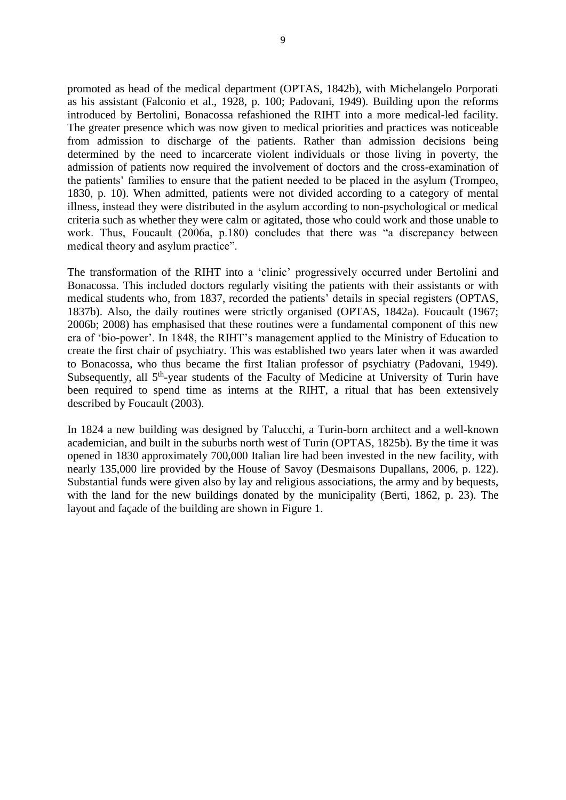promoted as head of the medical department (OPTAS, 1842b), with Michelangelo Porporati as his assistant (Falconio et al., 1928, p. 100; Padovani, 1949). Building upon the reforms introduced by Bertolini, Bonacossa refashioned the RIHT into a more medical-led facility. The greater presence which was now given to medical priorities and practices was noticeable from admission to discharge of the patients. Rather than admission decisions being determined by the need to incarcerate violent individuals or those living in poverty, the admission of patients now required the involvement of doctors and the cross-examination of the patients' families to ensure that the patient needed to be placed in the asylum (Trompeo, 1830, p. 10). When admitted, patients were not divided according to a category of mental illness, instead they were distributed in the asylum according to non-psychological or medical criteria such as whether they were calm or agitated, those who could work and those unable to work. Thus, Foucault (2006a, p.180) concludes that there was "a discrepancy between medical theory and asylum practice".

The transformation of the RIHT into a 'clinic' progressively occurred under Bertolini and Bonacossa. This included doctors regularly visiting the patients with their assistants or with medical students who, from 1837, recorded the patients' details in special registers (OPTAS, 1837b). Also, the daily routines were strictly organised (OPTAS, 1842a). Foucault (1967; 2006b; 2008) has emphasised that these routines were a fundamental component of this new era of 'bio-power'. In 1848, the RIHT's management applied to the Ministry of Education to create the first chair of psychiatry. This was established two years later when it was awarded to Bonacossa, who thus became the first Italian professor of psychiatry (Padovani, 1949). Subsequently, all  $5<sup>th</sup>$ -year students of the Faculty of Medicine at University of Turin have been required to spend time as interns at the RIHT, a ritual that has been extensively described by Foucault (2003).

In 1824 a new building was designed by Talucchi, a Turin-born architect and a well-known academician, and built in the suburbs north west of Turin (OPTAS, 1825b). By the time it was opened in 1830 approximately 700,000 Italian lire had been invested in the new facility, with nearly 135,000 lire provided by the House of Savoy (Desmaisons Dupallans, 2006, p. 122). Substantial funds were given also by lay and religious associations, the army and by bequests, with the land for the new buildings donated by the municipality (Berti, 1862, p. 23). The layout and façade of the building are shown in Figure 1.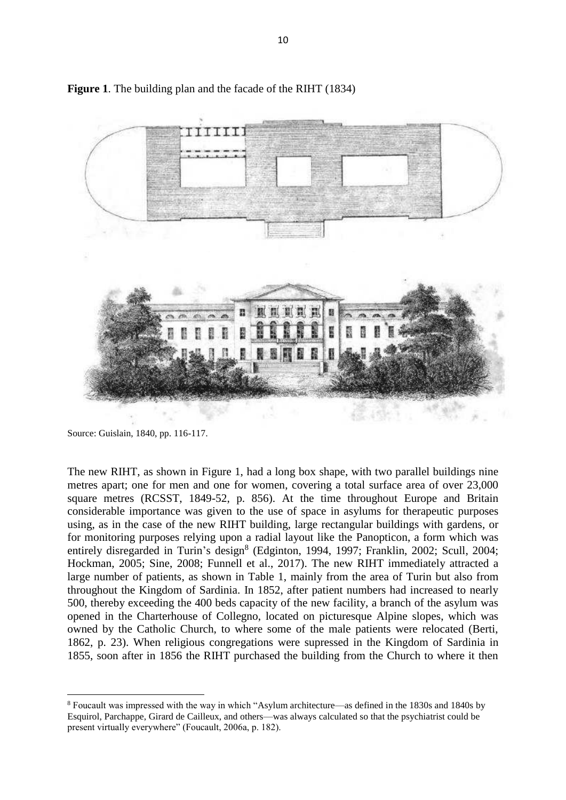

#### **Figure 1**. The building plan and the facade of the RIHT (1834)

Source: Guislain, 1840, pp. 116-117.

l

The new RIHT, as shown in Figure 1, had a long box shape, with two parallel buildings nine metres apart; one for men and one for women, covering a total surface area of over 23,000 square metres (RCSST, 1849-52, p. 856). At the time throughout Europe and Britain considerable importance was given to the use of space in asylums for therapeutic purposes using, as in the case of the new RIHT building, large rectangular buildings with gardens, or for monitoring purposes relying upon a radial layout like the Panopticon, a form which was entirely disregarded in Turin's design<sup>8</sup> (Edginton, 1994, 1997; Franklin, 2002; Scull, 2004; Hockman, 2005; Sine, 2008; Funnell et al., 2017). The new RIHT immediately attracted a large number of patients, as shown in Table 1, mainly from the area of Turin but also from throughout the Kingdom of Sardinia. In 1852, after patient numbers had increased to nearly 500, thereby exceeding the 400 beds capacity of the new facility, a branch of the asylum was opened in the Charterhouse of Collegno, located on picturesque Alpine slopes, which was owned by the Catholic Church, to where some of the male patients were relocated (Berti, 1862, p. 23). When religious congregations were supressed in the Kingdom of Sardinia in 1855, soon after in 1856 the RIHT purchased the building from the Church to where it then

<sup>8</sup> Foucault was impressed with the way in which "Asylum architecture—as defined in the 1830s and 1840s by Esquirol, Parchappe, Girard de Cailleux, and others—was always calculated so that the psychiatrist could be present virtually everywhere" (Foucault, 2006a, p. 182).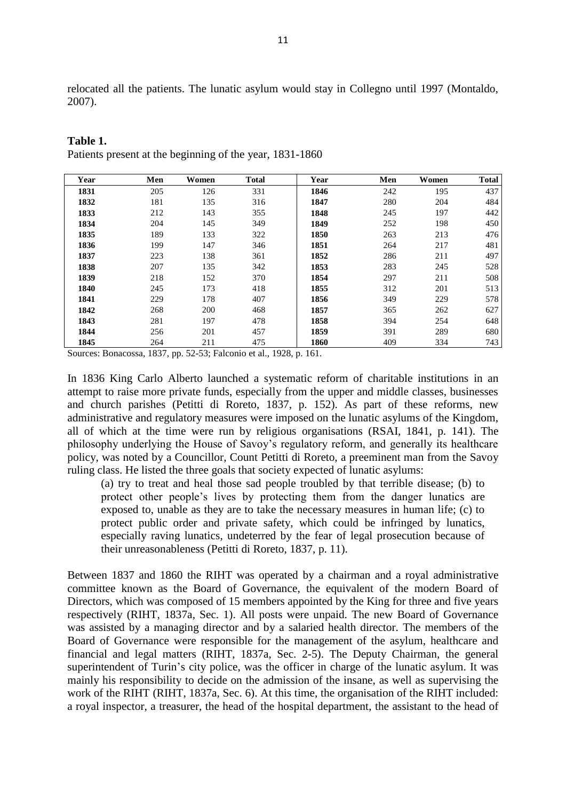relocated all the patients. The lunatic asylum would stay in Collegno until 1997 (Montaldo, 2007).

| Year | Men | Women | <b>Total</b> | Year | Men | Women | <b>Total</b> |
|------|-----|-------|--------------|------|-----|-------|--------------|
| 1831 | 205 | 126   | 331          | 1846 | 242 | 195   | 437          |
| 1832 | 181 | 135   | 316          | 1847 | 280 | 204   | 484          |
| 1833 | 212 | 143   | 355          | 1848 | 245 | 197   | 442          |
| 1834 | 204 | 145   | 349          | 1849 | 252 | 198   | 450          |
| 1835 | 189 | 133   | 322          | 1850 | 263 | 213   | 476          |
| 1836 | 199 | 147   | 346          | 1851 | 264 | 217   | 481          |
| 1837 | 223 | 138   | 361          | 1852 | 286 | 211   | 497          |
| 1838 | 207 | 135   | 342          | 1853 | 283 | 245   | 528          |
| 1839 | 218 | 152   | 370          | 1854 | 297 | 211   | 508          |
| 1840 | 245 | 173   | 418          | 1855 | 312 | 201   | 513          |
| 1841 | 229 | 178   | 407          | 1856 | 349 | 229   | 578          |
| 1842 | 268 | 200   | 468          | 1857 | 365 | 262   | 627          |
| 1843 | 281 | 197   | 478          | 1858 | 394 | 254   | 648          |
| 1844 | 256 | 201   | 457          | 1859 | 391 | 289   | 680          |
| 1845 | 264 | 211   | 475          | 1860 | 409 | 334   | 743          |

#### **Table 1.** Patients present at the beginning of the year, 1831-1860

Sources: Bonacossa, 1837, pp. 52-53; Falconio et al., 1928, p. 161.

In 1836 King Carlo Alberto launched a systematic reform of charitable institutions in an attempt to raise more private funds, especially from the upper and middle classes, businesses and church parishes (Petitti di Roreto, 1837, p. 152). As part of these reforms, new administrative and regulatory measures were imposed on the lunatic asylums of the Kingdom, all of which at the time were run by religious organisations (RSAI, 1841, p. 141). The philosophy underlying the House of Savoy's regulatory reform, and generally its healthcare policy, was noted by a Councillor, Count Petitti di Roreto, a preeminent man from the Savoy ruling class. He listed the three goals that society expected of lunatic asylums:

(a) try to treat and heal those sad people troubled by that terrible disease; (b) to protect other people's lives by protecting them from the danger lunatics are exposed to, unable as they are to take the necessary measures in human life; (c) to protect public order and private safety, which could be infringed by lunatics, especially raving lunatics, undeterred by the fear of legal prosecution because of their unreasonableness (Petitti di Roreto, 1837, p. 11).

Between 1837 and 1860 the RIHT was operated by a chairman and a royal administrative committee known as the Board of Governance, the equivalent of the modern Board of Directors, which was composed of 15 members appointed by the King for three and five years respectively (RIHT, 1837a, Sec. 1). All posts were unpaid. The new Board of Governance was assisted by a managing director and by a salaried health director. The members of the Board of Governance were responsible for the management of the asylum, healthcare and financial and legal matters (RIHT, 1837a, Sec. 2-5). The Deputy Chairman, the general superintendent of Turin's city police, was the officer in charge of the lunatic asylum. It was mainly his responsibility to decide on the admission of the insane, as well as supervising the work of the RIHT (RIHT, 1837a, Sec. 6). At this time, the organisation of the RIHT included: a royal inspector, a treasurer, the head of the hospital department, the assistant to the head of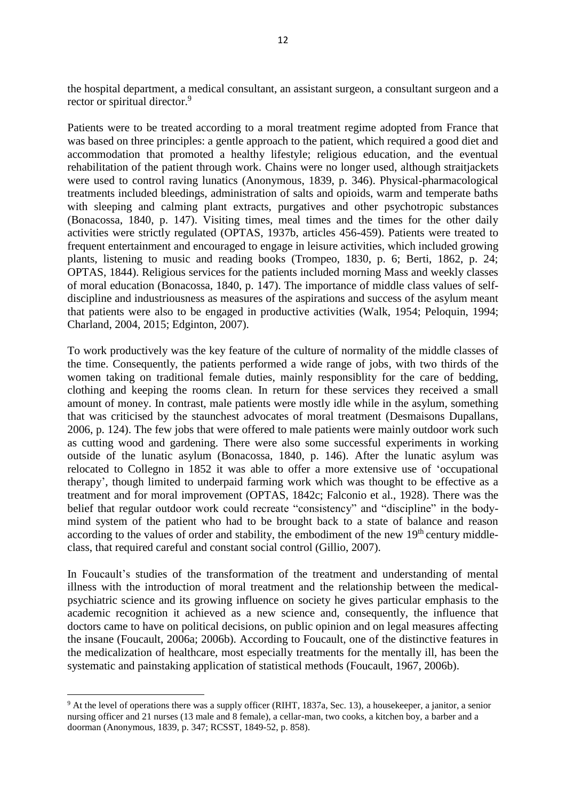the hospital department, a medical consultant, an assistant surgeon, a consultant surgeon and a rector or spiritual director.<sup>9</sup>

Patients were to be treated according to a moral treatment regime adopted from France that was based on three principles: a gentle approach to the patient, which required a good diet and accommodation that promoted a healthy lifestyle; religious education, and the eventual rehabilitation of the patient through work. Chains were no longer used, although straitjackets were used to control raving lunatics (Anonymous, 1839, p. 346). Physical-pharmacological treatments included bleedings, administration of salts and opioids, warm and temperate baths with sleeping and calming plant extracts, purgatives and other psychotropic substances (Bonacossa, 1840, p. 147). Visiting times, meal times and the times for the other daily activities were strictly regulated (OPTAS, 1937b, articles 456-459). Patients were treated to frequent entertainment and encouraged to engage in leisure activities, which included growing plants, listening to music and reading books (Trompeo, 1830, p. 6; Berti, 1862, p. 24; OPTAS, 1844). Religious services for the patients included morning Mass and weekly classes of moral education (Bonacossa, 1840, p. 147). The importance of middle class values of selfdiscipline and industriousness as measures of the aspirations and success of the asylum meant that patients were also to be engaged in productive activities (Walk, 1954; Peloquin, 1994; Charland, 2004, 2015; Edginton, 2007).

To work productively was the key feature of the culture of normality of the middle classes of the time. Consequently, the patients performed a wide range of jobs, with two thirds of the women taking on traditional female duties, mainly responsiblity for the care of bedding, clothing and keeping the rooms clean. In return for these services they received a small amount of money. In contrast, male patients were mostly idle while in the asylum, something that was criticised by the staunchest advocates of moral treatment (Desmaisons Dupallans, 2006, p. 124). The few jobs that were offered to male patients were mainly outdoor work such as cutting wood and gardening. There were also some successful experiments in working outside of the lunatic asylum (Bonacossa, 1840, p. 146). After the lunatic asylum was relocated to Collegno in 1852 it was able to offer a more extensive use of 'occupational therapy', though limited to underpaid farming work which was thought to be effective as a treatment and for moral improvement (OPTAS, 1842c; Falconio et al., 1928). There was the belief that regular outdoor work could recreate "consistency" and "discipline" in the bodymind system of the patient who had to be brought back to a state of balance and reason according to the values of order and stability, the embodiment of the new  $19<sup>th</sup>$  century middleclass, that required careful and constant social control (Gillio, 2007).

In Foucault's studies of the transformation of the treatment and understanding of mental illness with the introduction of moral treatment and the relationship between the medicalpsychiatric science and its growing influence on society he gives particular emphasis to the academic recognition it achieved as a new science and, consequently, the influence that doctors came to have on political decisions, on public opinion and on legal measures affecting the insane (Foucault, 2006a; 2006b). According to Foucault, one of the distinctive features in the medicalization of healthcare, most especially treatments for the mentally ill, has been the systematic and painstaking application of statistical methods (Foucault, 1967, 2006b).

l

<sup>&</sup>lt;sup>9</sup> At the level of operations there was a supply officer (RIHT, 1837a, Sec. 13), a housekeeper, a janitor, a senior nursing officer and 21 nurses (13 male and 8 female), a cellar-man, two cooks, a kitchen boy, a barber and a doorman (Anonymous, 1839, p. 347; RCSST, 1849-52, p. 858).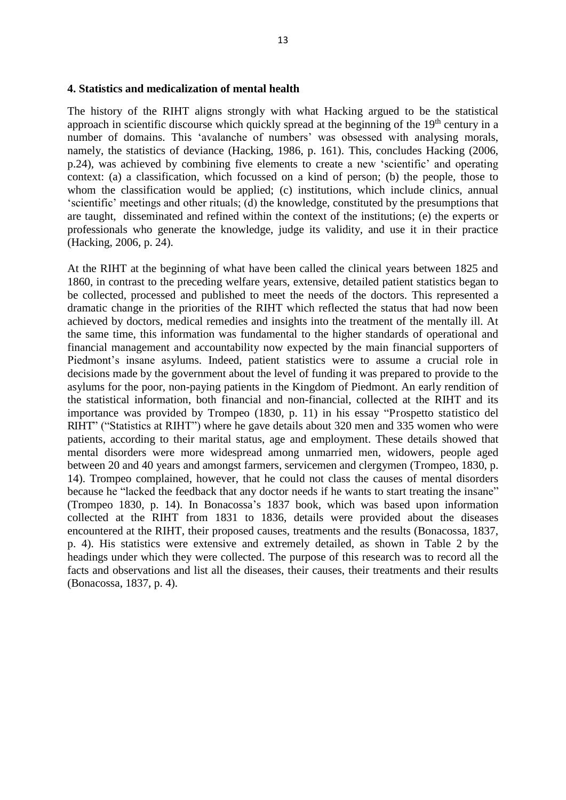The history of the RIHT aligns strongly with what Hacking argued to be the statistical approach in scientific discourse which quickly spread at the beginning of the  $19<sup>th</sup>$  century in a number of domains. This 'avalanche of numbers' was obsessed with analysing morals, namely, the statistics of deviance (Hacking, 1986, p. 161). This, concludes Hacking (2006, p.24), was achieved by combining five elements to create a new 'scientific' and operating context: (a) a classification, which focussed on a kind of person; (b) the people, those to whom the classification would be applied; (c) institutions, which include clinics, annual 'scientific' meetings and other rituals; (d) the knowledge, constituted by the presumptions that are taught, disseminated and refined within the context of the institutions; (e) the experts or professionals who generate the knowledge, judge its validity, and use it in their practice (Hacking, 2006, p. 24).

At the RIHT at the beginning of what have been called the clinical years between 1825 and 1860, in contrast to the preceding welfare years, extensive, detailed patient statistics began to be collected, processed and published to meet the needs of the doctors. This represented a dramatic change in the priorities of the RIHT which reflected the status that had now been achieved by doctors, medical remedies and insights into the treatment of the mentally ill. At the same time, this information was fundamental to the higher standards of operational and financial management and accountability now expected by the main financial supporters of Piedmont's insane asylums. Indeed, patient statistics were to assume a crucial role in decisions made by the government about the level of funding it was prepared to provide to the asylums for the poor, non-paying patients in the Kingdom of Piedmont. An early rendition of the statistical information, both financial and non-financial, collected at the RIHT and its importance was provided by Trompeo (1830, p. 11) in his essay "Prospetto statistico del RIHT" ("Statistics at RIHT") where he gave details about 320 men and 335 women who were patients, according to their marital status, age and employment. These details showed that mental disorders were more widespread among unmarried men, widowers, people aged between 20 and 40 years and amongst farmers, servicemen and clergymen (Trompeo, 1830, p. 14). Trompeo complained, however, that he could not class the causes of mental disorders because he "lacked the feedback that any doctor needs if he wants to start treating the insane" (Trompeo 1830, p. 14). In Bonacossa's 1837 book, which was based upon information collected at the RIHT from 1831 to 1836, details were provided about the diseases encountered at the RIHT, their proposed causes, treatments and the results (Bonacossa, 1837, p. 4). His statistics were extensive and extremely detailed, as shown in Table 2 by the headings under which they were collected. The purpose of this research was to record all the facts and observations and list all the diseases, their causes, their treatments and their results (Bonacossa, 1837, p. 4).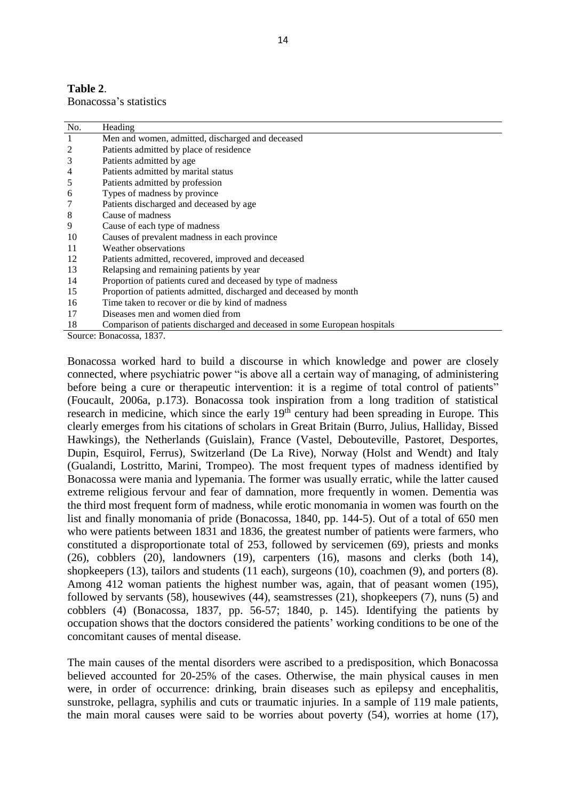| Table 2.               |  |
|------------------------|--|
| Bonacossa's statistics |  |

| No.          | Heading                                                                   |
|--------------|---------------------------------------------------------------------------|
| $\mathbf{1}$ | Men and women, admitted, discharged and deceased                          |
| 2            | Patients admitted by place of residence                                   |
| 3            | Patients admitted by age                                                  |
| 4            | Patients admitted by marital status                                       |
| 5            | Patients admitted by profession                                           |
| 6            | Types of madness by province                                              |
| 7            | Patients discharged and deceased by age                                   |
| 8            | Cause of madness                                                          |
| 9            | Cause of each type of madness                                             |
| 10           | Causes of prevalent madness in each province                              |
| 11           | Weather observations                                                      |
| 12           | Patients admitted, recovered, improved and deceased                       |
| 13           | Relapsing and remaining patients by year                                  |
| 14           | Proportion of patients cured and deceased by type of madness              |
| 15           | Proportion of patients admitted, discharged and deceased by month         |
| 16           | Time taken to recover or die by kind of madness                           |
| 17           | Diseases men and women died from                                          |
| 18           | Comparison of patients discharged and deceased in some European hospitals |
|              | Source: Bonacossa 1837                                                    |

Source: Bonacossa, 1837.

Bonacossa worked hard to build a discourse in which knowledge and power are closely connected, where psychiatric power "is above all a certain way of managing, of administering before being a cure or therapeutic intervention: it is a regime of total control of patients" (Foucault, 2006a, p.173). Bonacossa took inspiration from a long tradition of statistical research in medicine, which since the early  $19<sup>th</sup>$  century had been spreading in Europe. This clearly emerges from his citations of scholars in Great Britain (Burro, Julius, Halliday, Bissed Hawkings), the Netherlands (Guislain), France (Vastel, Debouteville, Pastoret, Desportes, Dupin, Esquirol, Ferrus), Switzerland (De La Rive), Norway (Holst and Wendt) and Italy (Gualandi, Lostritto, Marini, Trompeo). The most frequent types of madness identified by Bonacossa were mania and lypemania. The former was usually erratic, while the latter caused extreme religious fervour and fear of damnation, more frequently in women. Dementia was the third most frequent form of madness, while erotic monomania in women was fourth on the list and finally monomania of pride (Bonacossa, 1840, pp. 144-5). Out of a total of 650 men who were patients between 1831 and 1836, the greatest number of patients were farmers, who constituted a disproportionate total of 253, followed by servicemen (69), priests and monks (26), cobblers (20), landowners (19), carpenters (16), masons and clerks (both 14), shopkeepers (13), tailors and students (11 each), surgeons (10), coachmen (9), and porters (8). Among 412 woman patients the highest number was, again, that of peasant women (195), followed by servants (58), housewives (44), seamstresses (21), shopkeepers (7), nuns (5) and cobblers (4) (Bonacossa, 1837, pp. 56-57; 1840, p. 145). Identifying the patients by occupation shows that the doctors considered the patients' working conditions to be one of the concomitant causes of mental disease.

The main causes of the mental disorders were ascribed to a predisposition, which Bonacossa believed accounted for 20-25% of the cases. Otherwise, the main physical causes in men were, in order of occurrence: drinking, brain diseases such as epilepsy and encephalitis, sunstroke, pellagra, syphilis and cuts or traumatic injuries. In a sample of 119 male patients, the main moral causes were said to be worries about poverty (54), worries at home (17),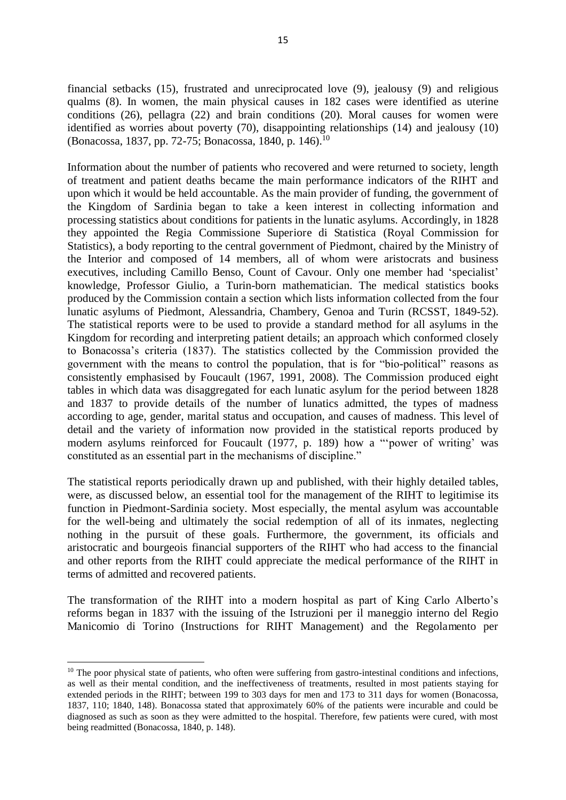financial setbacks (15), frustrated and unreciprocated love (9), jealousy (9) and religious qualms (8). In women, the main physical causes in 182 cases were identified as uterine conditions (26), pellagra (22) and brain conditions (20). Moral causes for women were identified as worries about poverty (70), disappointing relationships (14) and jealousy (10) (Bonacossa, 1837, pp. 72-75; Bonacossa, 1840, p. 146).<sup>10</sup>

Information about the number of patients who recovered and were returned to society, length of treatment and patient deaths became the main performance indicators of the RIHT and upon which it would be held accountable. As the main provider of funding, the government of the Kingdom of Sardinia began to take a keen interest in collecting information and processing statistics about conditions for patients in the lunatic asylums. Accordingly, in 1828 they appointed the Regia Commissione Superiore di Statistica (Royal Commission for Statistics), a body reporting to the central government of Piedmont, chaired by the Ministry of the Interior and composed of 14 members, all of whom were aristocrats and business executives, including Camillo Benso, Count of Cavour. Only one member had 'specialist' knowledge, Professor Giulio, a Turin-born mathematician. The medical statistics books produced by the Commission contain a section which lists information collected from the four lunatic asylums of Piedmont, Alessandria, Chambery, Genoa and Turin (RCSST, 1849-52). The statistical reports were to be used to provide a standard method for all asylums in the Kingdom for recording and interpreting patient details; an approach which conformed closely to Bonacossa's criteria (1837). The statistics collected by the Commission provided the government with the means to control the population, that is for "bio-political" reasons as consistently emphasised by Foucault (1967, 1991, 2008). The Commission produced eight tables in which data was disaggregated for each lunatic asylum for the period between 1828 and 1837 to provide details of the number of lunatics admitted, the types of madness according to age, gender, marital status and occupation, and causes of madness. This level of detail and the variety of information now provided in the statistical reports produced by modern asylums reinforced for Foucault (1977, p. 189) how a "'power of writing' was constituted as an essential part in the mechanisms of discipline."

The statistical reports periodically drawn up and published, with their highly detailed tables, were, as discussed below, an essential tool for the management of the RIHT to legitimise its function in Piedmont-Sardinia society. Most especially, the mental asylum was accountable for the well-being and ultimately the social redemption of all of its inmates, neglecting nothing in the pursuit of these goals. Furthermore, the government, its officials and aristocratic and bourgeois financial supporters of the RIHT who had access to the financial and other reports from the RIHT could appreciate the medical performance of the RIHT in terms of admitted and recovered patients.

The transformation of the RIHT into a modern hospital as part of King Carlo Alberto's reforms began in 1837 with the issuing of the Istruzioni per il maneggio interno del Regio Manicomio di Torino (Instructions for RIHT Management) and the Regolamento per

 $\overline{a}$ 

<sup>&</sup>lt;sup>10</sup> The poor physical state of patients, who often were suffering from gastro-intestinal conditions and infections, as well as their mental condition, and the ineffectiveness of treatments, resulted in most patients staying for extended periods in the RIHT; between 199 to 303 days for men and 173 to 311 days for women (Bonacossa, 1837, 110; 1840, 148). Bonacossa stated that approximately 60% of the patients were incurable and could be diagnosed as such as soon as they were admitted to the hospital. Therefore, few patients were cured, with most being readmitted (Bonacossa, 1840, p. 148).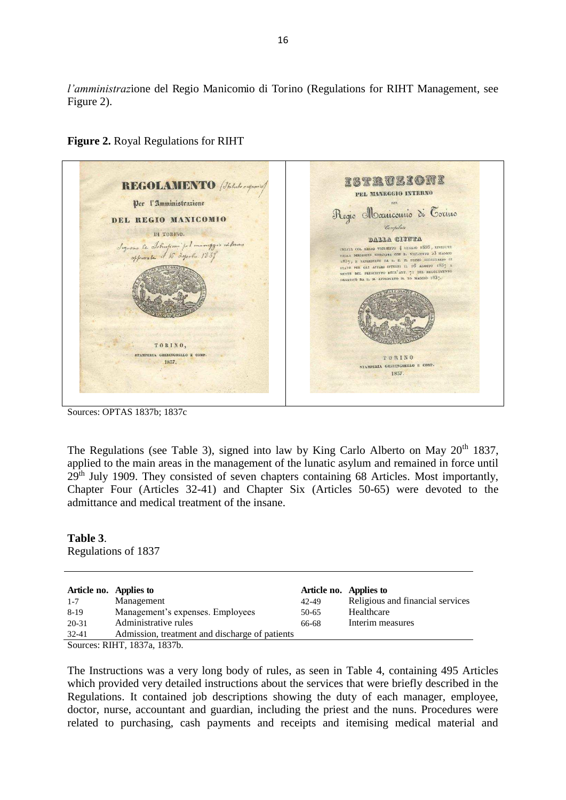*l'amministraz*ione del Regio Manicomio di Torino (Regulations for RIHT Management, see Figure 2).

| REGOLAMENTO (Ihhab organize)                                               | <b>ISTRUZIONI</b>                                                                                         |
|----------------------------------------------------------------------------|-----------------------------------------------------------------------------------------------------------|
|                                                                            | PEL MANEGGIO INTERNO                                                                                      |
| Per l'Amministrazione                                                      |                                                                                                           |
| DEL REGIO MANICOMIO                                                        | Regio Manicomio di Torino                                                                                 |
|                                                                            | Compilato                                                                                                 |
| DI TORINO.                                                                 | DALLA CITTTA                                                                                              |
| Sequeno le Ishufiani je I maneggio informo.<br>approate il 16 doporto 1881 | CREATA COL REGIO VIGLIETTO 4 LUGLIO 1836, RIVEDUTE                                                        |
|                                                                            | DALLA DIREZIONE NOMINATA CON R. VIGLIETTO 23 MAGGIO<br>1837, E SANZIONATE DA S. E. IL PRIMO SEGRETARIO DI |
|                                                                            | STATO PER GLI AFFARI INTERNI IL 16 AGOSTO 1837 A                                                          |
|                                                                            | MENTE DEL PRESCRITTO DELL'ART. 71 DEL REGOLAMENTO<br>оводной ва я. м. арриотато п. 20 массію 1837.        |
|                                                                            |                                                                                                           |
|                                                                            |                                                                                                           |
|                                                                            |                                                                                                           |
|                                                                            |                                                                                                           |
|                                                                            |                                                                                                           |
|                                                                            |                                                                                                           |
|                                                                            |                                                                                                           |
| TORINO,                                                                    |                                                                                                           |
| STAMPERIA GHIBINGHELLO E COMP.<br>1857.                                    | TORINO                                                                                                    |
|                                                                            | STAMPERIA GRIRENGHELLO E COMP.                                                                            |
|                                                                            | 1857.                                                                                                     |
|                                                                            |                                                                                                           |

**Figure 2.** Royal Regulations for RIHT

Sources: OPTAS 1837b; 1837c

The Regulations (see Table 3), signed into law by King Carlo Alberto on May  $20<sup>th</sup> 1837$ , applied to the main areas in the management of the lunatic asylum and remained in force until 29<sup>th</sup> July 1909. They consisted of seven chapters containing 68 Articles. Most importantly, Chapter Four (Articles 32-41) and Chapter Six (Articles 50-65) were devoted to the admittance and medical treatment of the insane.

## **Table 3**.

Regulations of 1837

| Article no. Applies to |                                                | Article no. Applies to |                                  |
|------------------------|------------------------------------------------|------------------------|----------------------------------|
| $1 - 7$                | Management                                     | 42-49                  | Religious and financial services |
| 8-19                   | Management's expenses. Employees               | 50-65                  | Healthcare                       |
| $20 - 31$              | Administrative rules                           | 66-68                  | Interim measures                 |
| $32 - 41$              | Admission, treatment and discharge of patients |                        |                                  |
|                        | Sources: RIHT, 1837a, 1837b.                   |                        |                                  |

The Instructions was a very long body of rules, as seen in Table 4, containing 495 Articles which provided very detailed instructions about the services that were briefly described in the Regulations. It contained job descriptions showing the duty of each manager, employee, doctor, nurse, accountant and guardian, including the priest and the nuns. Procedures were related to purchasing, cash payments and receipts and itemising medical material and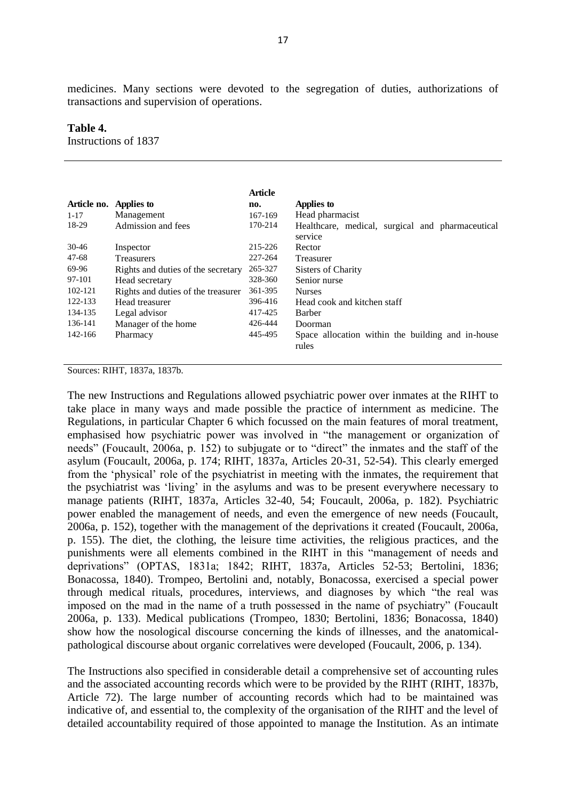medicines. Many sections were devoted to the segregation of duties, authorizations of transactions and supervision of operations.

#### **Table 4.**

Instructions of 1837

|             |                                    | <b>Article</b> |                                                             |
|-------------|------------------------------------|----------------|-------------------------------------------------------------|
| Article no. | Applies to                         | no.            | Applies to                                                  |
| $1 - 17$    | Management                         | 167-169        | Head pharmacist                                             |
| 18-29       | Admission and fees                 | 170-214        | Healthcare, medical, surgical and pharmaceutical<br>service |
| 30-46       | Inspector                          | 215-226        | Rector                                                      |
| $47 - 68$   | <b>Treasurers</b>                  | 227-264        | Treasurer                                                   |
| 69-96       | Rights and duties of the secretary | 265-327        | Sisters of Charity                                          |
| 97-101      | Head secretary                     | 328-360        | Senior nurse                                                |
| 102-121     | Rights and duties of the treasurer | 361-395        | <b>Nurses</b>                                               |
| 122-133     | Head treasurer                     | 396-416        | Head cook and kitchen staff                                 |
| 134-135     | Legal advisor                      | 417-425        | <b>Barber</b>                                               |
| 136-141     | Manager of the home                | 426-444        | Doorman                                                     |
| 142-166     | Pharmacy                           | 445-495        | Space allocation within the building and in-house<br>rules  |

Sources: RIHT, 1837a, 1837b.

The new Instructions and Regulations allowed psychiatric power over inmates at the RIHT to take place in many ways and made possible the practice of internment as medicine. The Regulations, in particular Chapter 6 which focussed on the main features of moral treatment, emphasised how psychiatric power was involved in "the management or organization of needs" (Foucault, 2006a, p. 152) to subjugate or to "direct" the inmates and the staff of the asylum (Foucault, 2006a, p. 174; RIHT, 1837a, Articles 20-31, 52-54). This clearly emerged from the 'physical' role of the psychiatrist in meeting with the inmates, the requirement that the psychiatrist was 'living' in the asylums and was to be present everywhere necessary to manage patients (RIHT, 1837a, Articles 32-40, 54; Foucault, 2006a, p. 182). Psychiatric power enabled the management of needs, and even the emergence of new needs (Foucault, 2006a, p. 152), together with the management of the deprivations it created (Foucault, 2006a, p. 155). The diet, the clothing, the leisure time activities, the religious practices, and the punishments were all elements combined in the RIHT in this "management of needs and deprivations" (OPTAS, 1831a; 1842; RIHT, 1837a, Articles 52-53; Bertolini, 1836; Bonacossa, 1840). Trompeo, Bertolini and, notably, Bonacossa, exercised a special power through medical rituals, procedures, interviews, and diagnoses by which "the real was imposed on the mad in the name of a truth possessed in the name of psychiatry" (Foucault 2006a, p. 133). Medical publications (Trompeo, 1830; Bertolini, 1836; Bonacossa, 1840) show how the nosological discourse concerning the kinds of illnesses, and the anatomicalpathological discourse about organic correlatives were developed (Foucault, 2006, p. 134).

The Instructions also specified in considerable detail a comprehensive set of accounting rules and the associated accounting records which were to be provided by the RIHT (RIHT, 1837b, Article 72). The large number of accounting records which had to be maintained was indicative of, and essential to, the complexity of the organisation of the RIHT and the level of detailed accountability required of those appointed to manage the Institution. As an intimate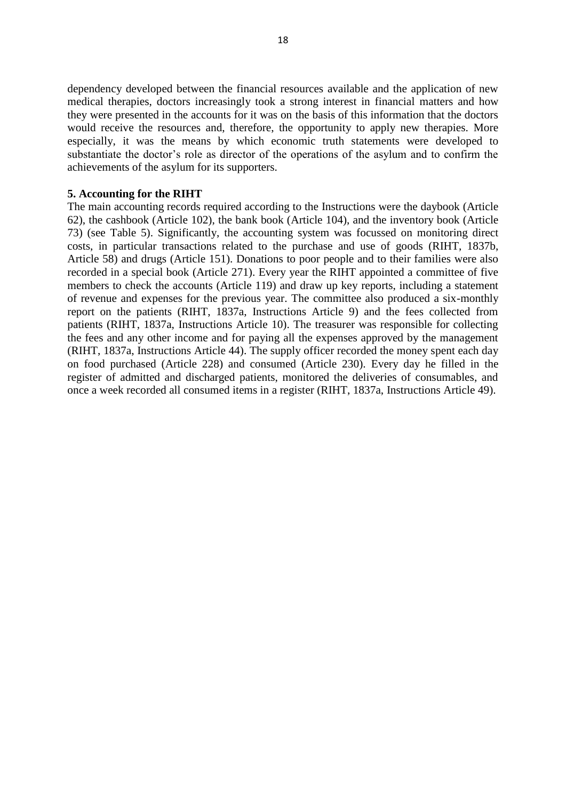dependency developed between the financial resources available and the application of new medical therapies, doctors increasingly took a strong interest in financial matters and how they were presented in the accounts for it was on the basis of this information that the doctors would receive the resources and, therefore, the opportunity to apply new therapies. More especially, it was the means by which economic truth statements were developed to substantiate the doctor's role as director of the operations of the asylum and to confirm the achievements of the asylum for its supporters.

#### **5. Accounting for the RIHT**

The main accounting records required according to the Instructions were the daybook (Article 62), the cashbook (Article 102), the bank book (Article 104), and the inventory book (Article 73) (see Table 5). Significantly, the accounting system was focussed on monitoring direct costs, in particular transactions related to the purchase and use of goods (RIHT, 1837b, Article 58) and drugs (Article 151). Donations to poor people and to their families were also recorded in a special book (Article 271). Every year the RIHT appointed a committee of five members to check the accounts (Article 119) and draw up key reports, including a statement of revenue and expenses for the previous year. The committee also produced a six-monthly report on the patients (RIHT, 1837a, Instructions Article 9) and the fees collected from patients (RIHT, 1837a, Instructions Article 10). The treasurer was responsible for collecting the fees and any other income and for paying all the expenses approved by the management (RIHT, 1837a, Instructions Article 44). The supply officer recorded the money spent each day on food purchased (Article 228) and consumed (Article 230). Every day he filled in the register of admitted and discharged patients, monitored the deliveries of consumables, and once a week recorded all consumed items in a register (RIHT, 1837a, Instructions Article 49).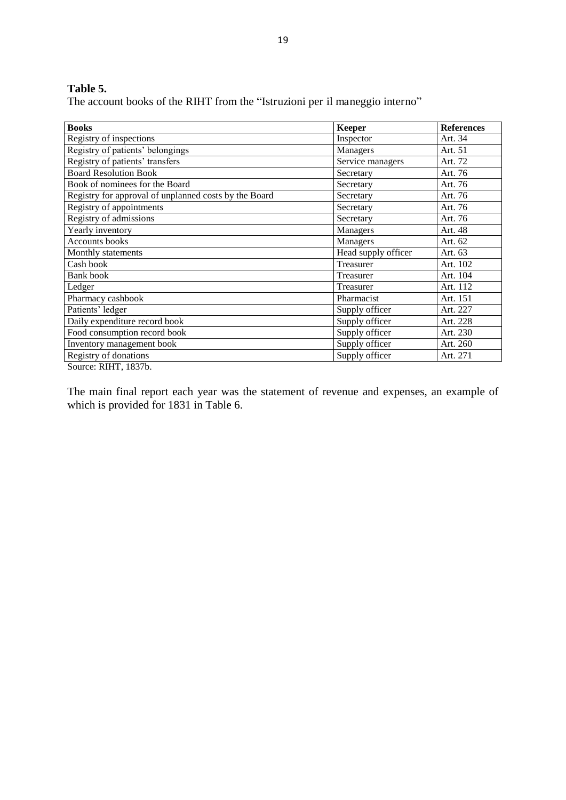#### **Table 5.**

The account books of the RIHT from the "Istruzioni per il maneggio interno"

| <b>Books</b>                                          | <b>Keeper</b>       | <b>References</b> |
|-------------------------------------------------------|---------------------|-------------------|
| Registry of inspections                               | Inspector           | Art. 34           |
| Registry of patients' belongings                      | Managers            | Art. 51           |
| Registry of patients' transfers                       | Service managers    | Art. 72           |
| <b>Board Resolution Book</b>                          | Secretary           | Art. 76           |
| Book of nominees for the Board                        | Secretary           | Art. 76           |
| Registry for approval of unplanned costs by the Board | Secretary           | Art. 76           |
| Registry of appointments                              | Secretary           | Art. 76           |
| Registry of admissions                                | Secretary           | Art. 76           |
| Yearly inventory                                      | Managers            | Art. 48           |
| <b>Accounts books</b>                                 | Managers            | Art. 62           |
| Monthly statements                                    | Head supply officer | Art. 63           |
| Cash book                                             | Treasurer           | Art. 102          |
| <b>Bank</b> book                                      | Treasurer           | Art. 104          |
| Ledger                                                | Treasurer           | Art. 112          |
| Pharmacy cashbook                                     | Pharmacist          | Art. 151          |
| Patients' ledger                                      | Supply officer      | Art. 227          |
| Daily expenditure record book                         | Supply officer      | Art. 228          |
| Food consumption record book                          | Supply officer      | Art. 230          |
| Inventory management book                             | Supply officer      | Art. 260          |
| Registry of donations                                 | Supply officer      | Art. 271          |

Source: RIHT, 1837b.

The main final report each year was the statement of revenue and expenses, an example of which is provided for 1831 in Table 6.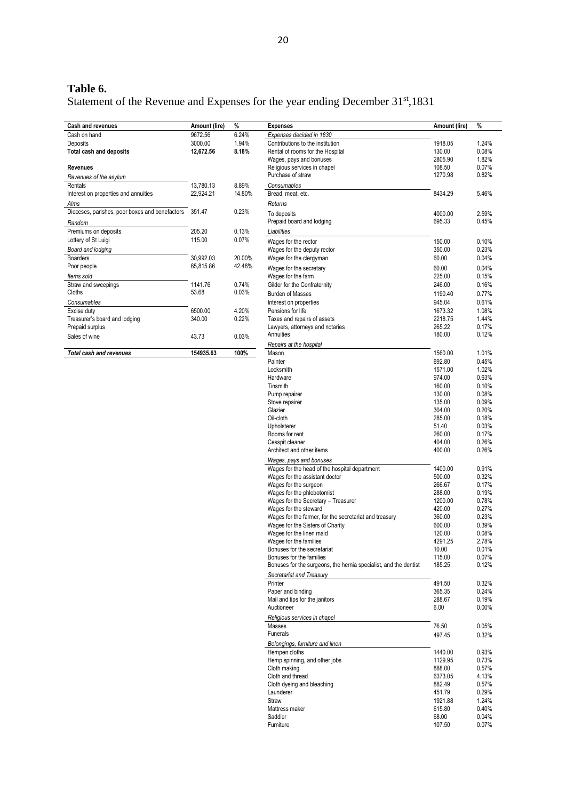#### **Table 6.**

Statement of the Revenue and Expenses for the year ending December 31<sup>st</sup>,1831

| Cash and revenues                                      | Amount (lire) | %      | <b>Expenses</b>                                                  | Amount (lire) | %     |
|--------------------------------------------------------|---------------|--------|------------------------------------------------------------------|---------------|-------|
| Cash on hand                                           | 9672.56       | 6.24%  | Expenses decided in 1830                                         |               |       |
| Deposits                                               | 3000.00       | 1.94%  | Contributions to the institution                                 | 1918.05       | 1.24% |
| Total cash and deposits                                | 12,672.56     | 8.18%  | Rental of rooms for the Hospital                                 | 130.00        | 0.08% |
|                                                        |               |        | Wages, pays and bonuses                                          | 2805.90       | 1.82% |
| Revenues                                               |               |        | Religious services in chapel                                     | 108.50        | 0.07% |
| Revenues of the asylum                                 |               |        | Purchase of straw                                                | 1270.98       | 0.82% |
| Rentals                                                | 13,780.13     | 8.89%  | Consumables                                                      |               |       |
| Interest on properties and annuities                   | 22,924.21     | 14.80% | Bread, meat, etc.                                                | 8434.29       | 5.46% |
|                                                        |               |        | Returns                                                          |               |       |
| Alms<br>Dioceses, parishes, poor boxes and benefactors | 351.47        | 0.23%  |                                                                  |               |       |
|                                                        |               |        | To deposits                                                      | 4000.00       | 2.59% |
| Random                                                 |               |        | Prepaid board and lodging                                        | 695.33        | 0.45% |
| Premiums on deposits                                   | 205.20        | 0.13%  | Liabilities                                                      |               |       |
| Lottery of St Luigi                                    | 115.00        | 0.07%  | Wages for the rector                                             | 150.00        | 0.10% |
| Board and lodging                                      |               |        | Wages for the deputy rector                                      | 350.00        | 0.23% |
| Boarders                                               | 30,992.03     | 20.00% | Wages for the clergyman                                          | 60.00         | 0.04% |
| Poor people                                            | 65,815.86     | 42.48% |                                                                  |               | 0.04% |
|                                                        |               |        | Wages for the secretary                                          | 60.00         |       |
| Items sold                                             |               |        | Wages for the farm                                               | 225.00        | 0.15% |
| Straw and sweepings                                    | 1141.76       | 0.74%  | Gilder for the Confraternity                                     | 246.00        | 0.16% |
| Cloths                                                 | 53.68         | 0.03%  | <b>Burden of Masses</b>                                          | 1190.40       | 0.77% |
| Consumables                                            |               |        | Interest on properties                                           | 945.04        | 0.61% |
| Excise duty                                            | 6500.00       | 4.20%  | Pensions for life                                                | 1673.32       | 1.08% |
| Treasurer's board and lodging                          | 340.00        | 0.22%  | Taxes and repairs of assets                                      | 2218.75       | 1.44% |
| Prepaid surplus                                        |               |        | Lawyers, attorneys and notaries                                  | 265.22        | 0.17% |
| Sales of wine                                          | 43.73         | 0.03%  | Annuities                                                        | 180.00        | 0.12% |
|                                                        |               |        | Repairs at the hospital                                          |               |       |
| Total cash and revenues                                | 154935.63     | 100%   | Mason                                                            | 1560.00       | 1.01% |
|                                                        |               |        | Painter                                                          | 692.80        | 0.45% |
|                                                        |               |        | Locksmith                                                        | 1571.00       | 1.02% |
|                                                        |               |        | Hardware                                                         |               |       |
|                                                        |               |        |                                                                  | 974.00        | 0.63% |
|                                                        |               |        | Tinsmith                                                         | 160.00        | 0.10% |
|                                                        |               |        | Pump repairer                                                    | 130.00        | 0.08% |
|                                                        |               |        | Stove repairer                                                   | 135.00        | 0.09% |
|                                                        |               |        | Glazier                                                          | 304.00        | 0.20% |
|                                                        |               |        | Oil-cloth                                                        | 285.00        | 0.18% |
|                                                        |               |        | Upholsterer                                                      | 51.40         | 0.03% |
|                                                        |               |        | Rooms for rent                                                   | 260.00        | 0.17% |
|                                                        |               |        | Cesspit cleaner                                                  | 404.00        | 0.26% |
|                                                        |               |        | Architect and other items                                        | 400.00        | 0.26% |
|                                                        |               |        | Wages, pays and bonuses                                          |               |       |
|                                                        |               |        | Wages for the head of the hospital department                    | 1400.00       | 0.91% |
|                                                        |               |        | Wages for the assistant doctor                                   | 500.00        | 0.32% |
|                                                        |               |        | Wages for the surgeon                                            | 266.67        | 0.17% |
|                                                        |               |        | Wages for the phlebotomist                                       | 288.00        | 0.19% |
|                                                        |               |        | Wages for the Secretary - Treasurer                              | 1200.00       | 0.78% |
|                                                        |               |        | Wages for the steward                                            | 420.00        | 0.27% |
|                                                        |               |        | Wages for the farmer, for the secretariat and treasury           | 360.00        | 0.23% |
|                                                        |               |        | Wages for the Sisters of Charity                                 | 600.00        | 0.39% |
|                                                        |               |        | Wages for the linen maid                                         | 120.00        | 0.08% |
|                                                        |               |        | Wages for the families                                           | 4291.25       | 2.78% |
|                                                        |               |        | Bonuses for the secretariat                                      | 10.00         | 0.01% |
|                                                        |               |        | Bonuses for the families                                         | 115.00        | 0.07% |
|                                                        |               |        | Bonuses for the surgeons, the hernia specialist, and the dentist | 185.25        | 0.12% |
|                                                        |               |        |                                                                  |               |       |
|                                                        |               |        | Secretariat and Treasury                                         |               |       |
|                                                        |               |        | Printer                                                          | 491.50        | 0.32% |
|                                                        |               |        | Paper and binding                                                | 365.35        | 0.24% |
|                                                        |               |        | Mail and tips for the janitors                                   | 288.67        | 0.19% |
|                                                        |               |        | Auctioneer                                                       | 6.00          | 0.00% |
|                                                        |               |        | Religious services in chapel                                     |               |       |
|                                                        |               |        | Masses                                                           | 76.50         | 0.05% |
|                                                        |               |        | Funerals                                                         | 497.45        | 0.32% |
|                                                        |               |        |                                                                  |               |       |
|                                                        |               |        | Belongings, furniture and linen                                  |               |       |
|                                                        |               |        | Hempen cloths                                                    | 1440.00       | 0.93% |
|                                                        |               |        | Hemp spinning, and other jobs                                    | 1129.95       | 0.73% |
|                                                        |               |        | Cloth making                                                     | 888.00        | 0.57% |
|                                                        |               |        | Cloth and thread                                                 | 6373.05       | 4.13% |
|                                                        |               |        | Cloth dyeing and bleaching                                       | 882.49        | 0.57% |
|                                                        |               |        | Launderer                                                        | 451.79        | 0.29% |
|                                                        |               |        | Straw                                                            | 1921.88       | 1.24% |
|                                                        |               |        | Mattress maker                                                   | 615.80        | 0.40% |
|                                                        |               |        | Saddler                                                          | 68.00         | 0.04% |
|                                                        |               |        | Furniture                                                        | 107.50        | 0.07% |
|                                                        |               |        |                                                                  |               |       |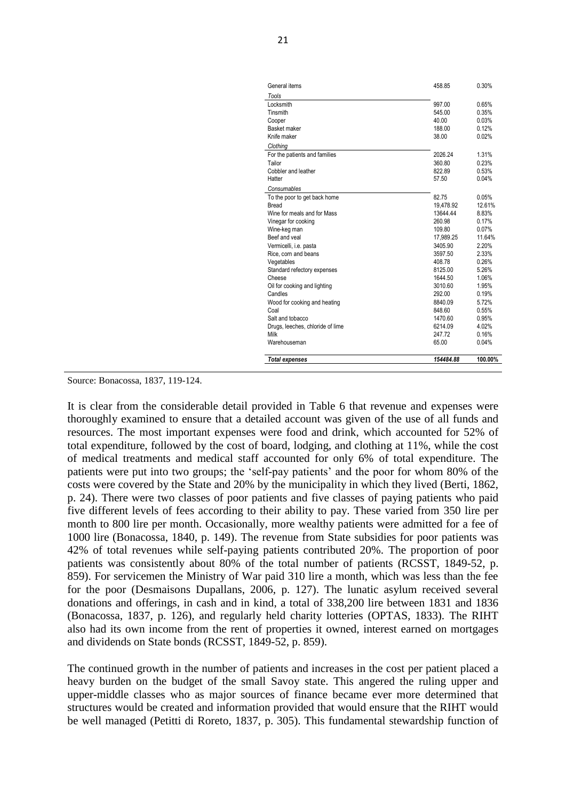| General items                 | 458.85                                                                                                                                                                                                                                                                            | 0.30%                                                                                                     |
|-------------------------------|-----------------------------------------------------------------------------------------------------------------------------------------------------------------------------------------------------------------------------------------------------------------------------------|-----------------------------------------------------------------------------------------------------------|
| Tools                         |                                                                                                                                                                                                                                                                                   |                                                                                                           |
| Locksmith                     | 997.00                                                                                                                                                                                                                                                                            | 0.65%                                                                                                     |
| Tinsmith                      | 545.00                                                                                                                                                                                                                                                                            | 0.35%                                                                                                     |
|                               | 40.00                                                                                                                                                                                                                                                                             | 0.03%                                                                                                     |
| <b>Basket maker</b>           | 188.00                                                                                                                                                                                                                                                                            | 0.12%                                                                                                     |
| Knife maker                   | 38.00                                                                                                                                                                                                                                                                             | 0.02%                                                                                                     |
| Clothing                      |                                                                                                                                                                                                                                                                                   |                                                                                                           |
| For the patients and families | 2026.24                                                                                                                                                                                                                                                                           | 1.31%                                                                                                     |
| Tailor                        | 360.80                                                                                                                                                                                                                                                                            | 0.23%                                                                                                     |
| Cobbler and leather           | 822.89                                                                                                                                                                                                                                                                            | 0.53%                                                                                                     |
| Hatter                        | 57.50                                                                                                                                                                                                                                                                             | 0.04%                                                                                                     |
| Consumables                   |                                                                                                                                                                                                                                                                                   |                                                                                                           |
| To the poor to get back home  | 82.75                                                                                                                                                                                                                                                                             | 0.05%                                                                                                     |
| <b>Bread</b>                  | 19,478.92                                                                                                                                                                                                                                                                         | 12.61%                                                                                                    |
| Wine for meals and for Mass   | 13644.44                                                                                                                                                                                                                                                                          | 8.83%                                                                                                     |
| Vinegar for cooking           | 260.98                                                                                                                                                                                                                                                                            | 0.17%                                                                                                     |
| Wine-keg man                  | 109.80                                                                                                                                                                                                                                                                            | 0.07%                                                                                                     |
| Beef and veal                 | 17,989.25                                                                                                                                                                                                                                                                         | 11.64%                                                                                                    |
|                               | 3405.90                                                                                                                                                                                                                                                                           | 2.20%                                                                                                     |
|                               | 3597.50                                                                                                                                                                                                                                                                           | 2.33%                                                                                                     |
|                               | 408.78                                                                                                                                                                                                                                                                            | 0.26%                                                                                                     |
|                               |                                                                                                                                                                                                                                                                                   | 5.26%                                                                                                     |
| Cheese                        |                                                                                                                                                                                                                                                                                   | 1.06%                                                                                                     |
|                               |                                                                                                                                                                                                                                                                                   | 1.95%                                                                                                     |
|                               |                                                                                                                                                                                                                                                                                   | 0.19%                                                                                                     |
|                               |                                                                                                                                                                                                                                                                                   | 5.72%                                                                                                     |
|                               |                                                                                                                                                                                                                                                                                   | 0.55%                                                                                                     |
|                               |                                                                                                                                                                                                                                                                                   | 0.95%                                                                                                     |
|                               |                                                                                                                                                                                                                                                                                   | 4.02%                                                                                                     |
|                               |                                                                                                                                                                                                                                                                                   | 0.16%                                                                                                     |
| Warehouseman                  | 65.00                                                                                                                                                                                                                                                                             | 0.04%                                                                                                     |
|                               |                                                                                                                                                                                                                                                                                   | 100.00%                                                                                                   |
|                               | Cooper<br>Vermicelli, i.e. pasta<br>Rice, corn and beans<br>Vegetables<br>Standard refectory expenses<br>Oil for cooking and lighting<br>Candles<br>Wood for cooking and heating<br>Coal<br>Salt and tobacco<br>Drugs, leeches, chloride of lime<br>Milk<br><b>Total expenses</b> | 8125.00<br>1644.50<br>3010.60<br>292.00<br>8840.09<br>848.60<br>1470.60<br>6214.09<br>247.72<br>154484.88 |

Source: Bonacossa, 1837, 119-124.

It is clear from the considerable detail provided in Table 6 that revenue and expenses were thoroughly examined to ensure that a detailed account was given of the use of all funds and resources. The most important expenses were food and drink, which accounted for 52% of total expenditure, followed by the cost of board, lodging, and clothing at 11%, while the cost of medical treatments and medical staff accounted for only 6% of total expenditure. The patients were put into two groups; the 'self-pay patients' and the poor for whom 80% of the costs were covered by the State and 20% by the municipality in which they lived (Berti, 1862, p. 24). There were two classes of poor patients and five classes of paying patients who paid five different levels of fees according to their ability to pay. These varied from 350 lire per month to 800 lire per month. Occasionally, more wealthy patients were admitted for a fee of 1000 lire (Bonacossa, 1840, p. 149). The revenue from State subsidies for poor patients was 42% of total revenues while self-paying patients contributed 20%. The proportion of poor patients was consistently about 80% of the total number of patients (RCSST, 1849-52, p. 859). For servicemen the Ministry of War paid 310 lire a month, which was less than the fee for the poor (Desmaisons Dupallans, 2006, p. 127). The lunatic asylum received several donations and offerings, in cash and in kind, a total of 338,200 lire between 1831 and 1836 (Bonacossa, 1837, p. 126), and regularly held charity lotteries (OPTAS, 1833). The RIHT also had its own income from the rent of properties it owned, interest earned on mortgages and dividends on State bonds (RCSST, 1849-52, p. 859).

The continued growth in the number of patients and increases in the cost per patient placed a heavy burden on the budget of the small Savoy state. This angered the ruling upper and upper-middle classes who as major sources of finance became ever more determined that structures would be created and information provided that would ensure that the RIHT would be well managed (Petitti di Roreto, 1837, p. 305). This fundamental stewardship function of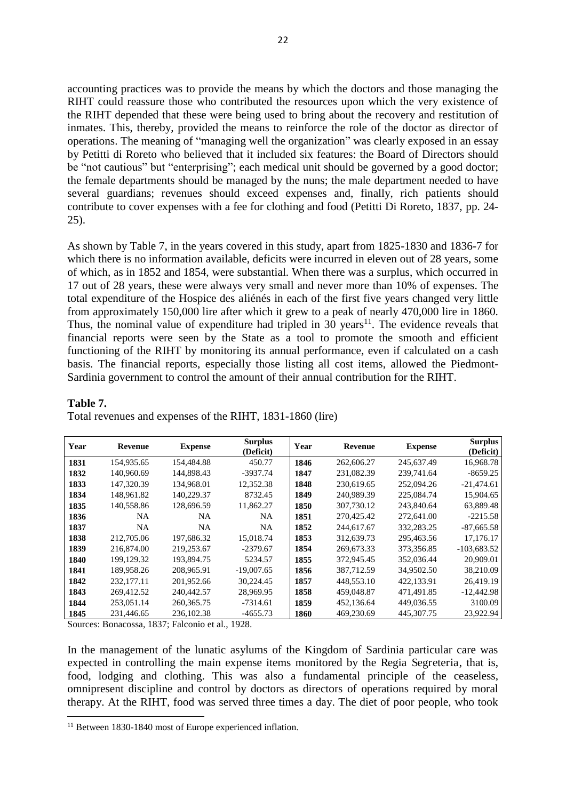accounting practices was to provide the means by which the doctors and those managing the RIHT could reassure those who contributed the resources upon which the very existence of the RIHT depended that these were being used to bring about the recovery and restitution of inmates. This, thereby, provided the means to reinforce the role of the doctor as director of operations. The meaning of "managing well the organization" was clearly exposed in an essay by Petitti di Roreto who believed that it included six features: the Board of Directors should be "not cautious" but "enterprising"; each medical unit should be governed by a good doctor; the female departments should be managed by the nuns; the male department needed to have several guardians; revenues should exceed expenses and, finally, rich patients should contribute to cover expenses with a fee for clothing and food (Petitti Di Roreto, 1837, pp. 24- 25).

As shown by Table 7, in the years covered in this study, apart from 1825-1830 and 1836-7 for which there is no information available, deficits were incurred in eleven out of 28 years, some of which, as in 1852 and 1854, were substantial. When there was a surplus, which occurred in 17 out of 28 years, these were always very small and never more than 10% of expenses. The total expenditure of the Hospice des aliénés in each of the first five years changed very little from approximately 150,000 lire after which it grew to a peak of nearly 470,000 lire in 1860. Thus, the nominal value of expenditure had tripled in  $30 \text{ years}^{11}$ . The evidence reveals that financial reports were seen by the State as a tool to promote the smooth and efficient functioning of the RIHT by monitoring its annual performance, even if calculated on a cash basis. The financial reports, especially those listing all cost items, allowed the Piedmont-Sardinia government to control the amount of their annual contribution for the RIHT.

| Year | <b>Revenue</b> | <b>Expense</b> | <b>Surplus</b><br>(Deficit) | Year | Revenue    | <b>Expense</b> | <b>Surplus</b><br>(Deficit) |
|------|----------------|----------------|-----------------------------|------|------------|----------------|-----------------------------|
| 1831 | 154.935.65     | 154.484.88     | 450.77                      | 1846 | 262,606.27 | 245,637.49     | 16.968.78                   |
| 1832 | 140.960.69     | 144.898.43     | -3937.74                    | 1847 | 231,082.39 | 239,741.64     | $-8659.25$                  |
| 1833 | 147,320.39     | 134,968.01     | 12,352.38                   | 1848 | 230,619.65 | 252,094.26     | $-21,474.61$                |
| 1834 | 148.961.82     | 140,229.37     | 8732.45                     | 1849 | 240.989.39 | 225,084.74     | 15,904.65                   |
| 1835 | 140,558.86     | 128,696.59     | 11,862.27                   | 1850 | 307.730.12 | 243,840.64     | 63,889.48                   |
| 1836 | NA             | NA             | NA.                         | 1851 | 270.425.42 | 272,641.00     | $-2215.58$                  |
| 1837 | NA             | <b>NA</b>      | NA.                         | 1852 | 244,617.67 | 332,283.25     | $-87,665.58$                |
| 1838 | 212,705.06     | 197.686.32     | 15,018.74                   | 1853 | 312,639.73 | 295.463.56     | 17,176.17                   |
| 1839 | 216,874.00     | 219,253.67     | $-2379.67$                  | 1854 | 269,673.33 | 373,356.85     | $-103,683.52$               |
| 1840 | 199.129.32     | 193.894.75     | 5234.57                     | 1855 | 372,945.45 | 352,036.44     | 20,909.01                   |
| 1841 | 189.958.26     | 208,965.91     | $-19,007.65$                | 1856 | 387,712.59 | 34,9502.50     | 38,210.09                   |
| 1842 | 232,177.11     | 201.952.66     | 30,224.45                   | 1857 | 448,553.10 | 422,133.91     | 26,419.19                   |
| 1843 | 269.412.52     | 240,442.57     | 28,969.95                   | 1858 | 459,048.87 | 471,491.85     | $-12,442.98$                |
| 1844 | 253,051.14     | 260, 365. 75   | $-7314.61$                  | 1859 | 452,136.64 | 449,036.55     | 3100.09                     |
| 1845 | 231.446.65     | 236,102.38     | -4655.73                    | 1860 | 469,230.69 | 445, 307. 75   | 23,922.94                   |

#### Total revenues and expenses of the RIHT, 1831-1860 (lire)

Sources: Bonacossa, 1837; Falconio et al., 1928.

**Table 7.** 

In the management of the lunatic asylums of the Kingdom of Sardinia particular care was expected in controlling the main expense items monitored by the Regia Segreteria, that is, food, lodging and clothing. This was also a fundamental principle of the ceaseless, omnipresent discipline and control by doctors as directors of operations required by moral therapy. At the RIHT, food was served three times a day. The diet of poor people, who took l

<sup>&</sup>lt;sup>11</sup> Between 1830-1840 most of Europe experienced inflation.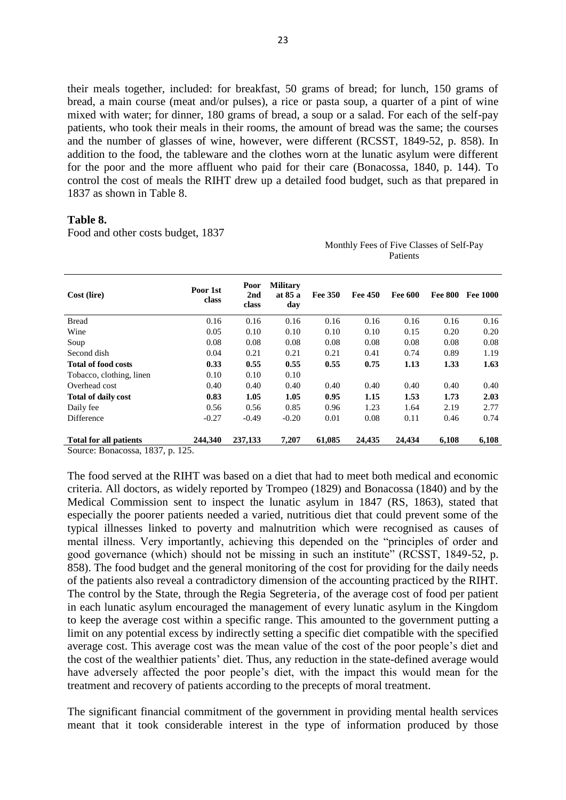their meals together, included: for breakfast, 50 grams of bread; for lunch, 150 grams of bread, a main course (meat and/or pulses), a rice or pasta soup, a quarter of a pint of wine mixed with water; for dinner, 180 grams of bread, a soup or a salad. For each of the self-pay patients, who took their meals in their rooms, the amount of bread was the same; the courses and the number of glasses of wine, however, were different (RCSST, 1849-52, p. 858). In addition to the food, the tableware and the clothes worn at the lunatic asylum were different for the poor and the more affluent who paid for their care (Bonacossa, 1840, p. 144). To control the cost of meals the RIHT drew up a detailed food budget, such as that prepared in 1837 as shown in Table 8.

> Monthly Fees of Five Classes of Self-Pay Patients

#### **Table 8.**

Food and other costs budget, 1837

| Cost (lire)                    | Poor 1st<br>class | Poor<br>2nd<br>class | <b>Military</b><br>at 85 a<br>day | Fee 350 | Fee 450 | <b>Fee 600</b> | <b>Fee 800</b> | Fee 1000 |
|--------------------------------|-------------------|----------------------|-----------------------------------|---------|---------|----------------|----------------|----------|
| <b>Bread</b>                   | 0.16              | 0.16                 | 0.16                              | 0.16    | 0.16    | 0.16           | 0.16           | 0.16     |
| Wine                           | 0.05              | 0.10                 | 0.10                              | 0.10    | 0.10    | 0.15           | 0.20           | 0.20     |
| Soup                           | 0.08              | 0.08                 | 0.08                              | 0.08    | 0.08    | 0.08           | 0.08           | 0.08     |
| Second dish                    | 0.04              | 0.21                 | 0.21                              | 0.21    | 0.41    | 0.74           | 0.89           | 1.19     |
| <b>Total of food costs</b>     | 0.33              | 0.55                 | 0.55                              | 0.55    | 0.75    | 1.13           | 1.33           | 1.63     |
| Tobacco, clothing, linen       | 0.10              | 0.10                 | 0.10                              |         |         |                |                |          |
| Overhead cost                  | 0.40              | 0.40                 | 0.40                              | 0.40    | 0.40    | 0.40           | 0.40           | 0.40     |
| <b>Total of daily cost</b>     | 0.83              | 1.05                 | 1.05                              | 0.95    | 1.15    | 1.53           | 1.73           | 2.03     |
| Daily fee                      | 0.56              | 0.56                 | 0.85                              | 0.96    | 1.23    | 1.64           | 2.19           | 2.77     |
| Difference                     | $-0.27$           | $-0.49$              | $-0.20$                           | 0.01    | 0.08    | 0.11           | 0.46           | 0.74     |
| <b>Total for all patients</b>  | 244,340           | 237,133              | 7,207                             | 61,085  | 24,435  | 24,434         | 6,108          | 6,108    |
| $SOuree: ROngcoseg 1837 n 125$ |                   |                      |                                   |         |         |                |                |          |

Source: Bonacossa, 1837, p. 125.

The food served at the RIHT was based on a diet that had to meet both medical and economic criteria. All doctors, as widely reported by Trompeo (1829) and Bonacossa (1840) and by the Medical Commission sent to inspect the lunatic asylum in 1847 (RS, 1863), stated that especially the poorer patients needed a varied, nutritious diet that could prevent some of the typical illnesses linked to poverty and malnutrition which were recognised as causes of mental illness. Very importantly, achieving this depended on the "principles of order and good governance (which) should not be missing in such an institute" (RCSST, 1849-52, p. 858). The food budget and the general monitoring of the cost for providing for the daily needs of the patients also reveal a contradictory dimension of the accounting practiced by the RIHT. The control by the State, through the Regia Segreteria, of the average cost of food per patient in each lunatic asylum encouraged the management of every lunatic asylum in the Kingdom to keep the average cost within a specific range. This amounted to the government putting a limit on any potential excess by indirectly setting a specific diet compatible with the specified average cost. This average cost was the mean value of the cost of the poor people's diet and the cost of the wealthier patients' diet. Thus, any reduction in the state-defined average would have adversely affected the poor people's diet, with the impact this would mean for the treatment and recovery of patients according to the precepts of moral treatment.

The significant financial commitment of the government in providing mental health services meant that it took considerable interest in the type of information produced by those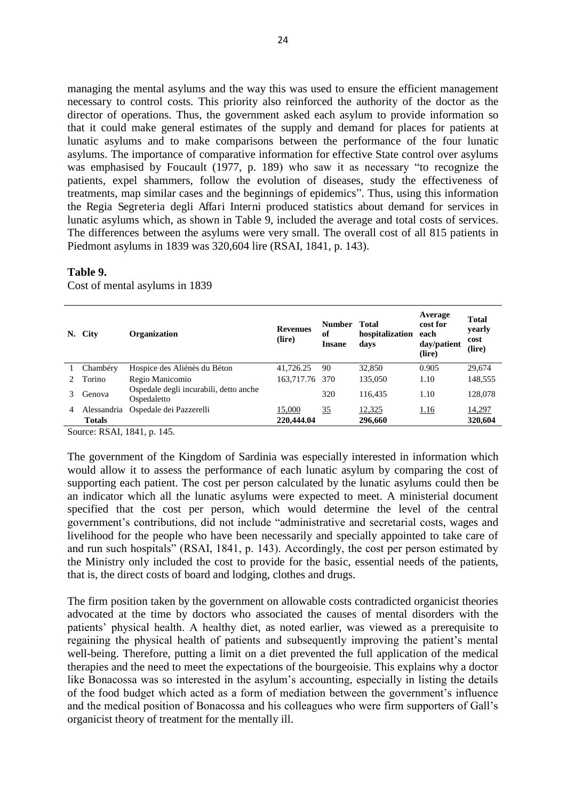managing the mental asylums and the way this was used to ensure the efficient management necessary to control costs. This priority also reinforced the authority of the doctor as the director of operations. Thus, the government asked each asylum to provide information so that it could make general estimates of the supply and demand for places for patients at lunatic asylums and to make comparisons between the performance of the four lunatic asylums. The importance of comparative information for effective State control over asylums was emphasised by Foucault (1977, p. 189) who saw it as necessary "to recognize the patients, expel shammers, follow the evolution of diseases, study the effectiveness of treatments, map similar cases and the beginnings of epidemics". Thus, using this information the Regia Segreteria degli Affari Interni produced statistics about demand for services in lunatic asylums which, as shown in Table 9, included the average and total costs of services. The differences between the asylums were very small. The overall cost of all 815 patients in Piedmont asylums in 1839 was 320,604 lire (RSAI, 1841, p. 143).

#### **Table 9.**

**N.** City **Organization Revenues (lire) Number Total of Insane hospitalization days Average cost for each day/patient (lire) Total yearly cost (lire)**  1 Chambéry Hospice des Aliénès du Béton 41,726.25 90 32,850 0.905 29,674 2 Torino Regio Manicomio 163,717.76 370 135,050 1.10 148,555 3 Genova Ospedale degli incurabili, detto anche Ospedaletto 128,078<br>Ospedaletto 128,078 4 Alessandria Ospedale dei Pazzerelli 15,000 35 12,325 1.16 14,297  **Totals 220,444.04 296,660 320,604** 

Cost of mental asylums in 1839

Source: RSAI, 1841, p. 145.

The government of the Kingdom of Sardinia was especially interested in information which would allow it to assess the performance of each lunatic asylum by comparing the cost of supporting each patient. The cost per person calculated by the lunatic asylums could then be an indicator which all the lunatic asylums were expected to meet. A ministerial document specified that the cost per person, which would determine the level of the central government's contributions, did not include "administrative and secretarial costs, wages and livelihood for the people who have been necessarily and specially appointed to take care of and run such hospitals" (RSAI, 1841, p. 143). Accordingly, the cost per person estimated by the Ministry only included the cost to provide for the basic, essential needs of the patients, that is, the direct costs of board and lodging, clothes and drugs.

The firm position taken by the government on allowable costs contradicted organicist theories advocated at the time by doctors who associated the causes of mental disorders with the patients' physical health. A healthy diet, as noted earlier, was viewed as a prerequisite to regaining the physical health of patients and subsequently improving the patient's mental well-being. Therefore, putting a limit on a diet prevented the full application of the medical therapies and the need to meet the expectations of the bourgeoisie. This explains why a doctor like Bonacossa was so interested in the asylum's accounting, especially in listing the details of the food budget which acted as a form of mediation between the government's influence and the medical position of Bonacossa and his colleagues who were firm supporters of Gall's organicist theory of treatment for the mentally ill.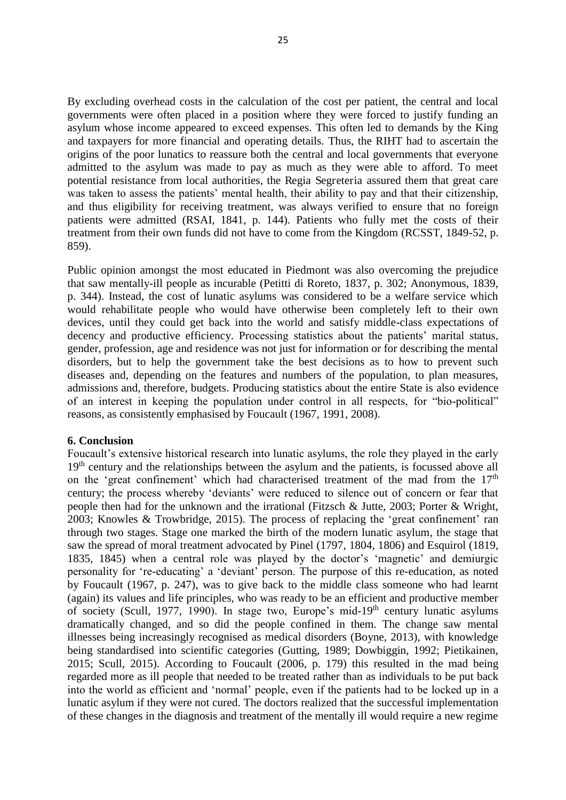By excluding overhead costs in the calculation of the cost per patient, the central and local governments were often placed in a position where they were forced to justify funding an asylum whose income appeared to exceed expenses. This often led to demands by the King and taxpayers for more financial and operating details. Thus, the RIHT had to ascertain the origins of the poor lunatics to reassure both the central and local governments that everyone admitted to the asylum was made to pay as much as they were able to afford. To meet potential resistance from local authorities, the Regia Segreteria assured them that great care was taken to assess the patients' mental health, their ability to pay and that their citizenship, and thus eligibility for receiving treatment, was always verified to ensure that no foreign patients were admitted (RSAI, 1841, p. 144). Patients who fully met the costs of their treatment from their own funds did not have to come from the Kingdom (RCSST, 1849-52, p. 859).

Public opinion amongst the most educated in Piedmont was also overcoming the prejudice that saw mentally-ill people as incurable (Petitti di Roreto, 1837, p. 302; Anonymous, 1839, p. 344). Instead, the cost of lunatic asylums was considered to be a welfare service which would rehabilitate people who would have otherwise been completely left to their own devices, until they could get back into the world and satisfy middle-class expectations of decency and productive efficiency. Processing statistics about the patients' marital status, gender, profession, age and residence was not just for information or for describing the mental disorders, but to help the government take the best decisions as to how to prevent such diseases and, depending on the features and numbers of the population, to plan measures, admissions and, therefore, budgets. Producing statistics about the entire State is also evidence of an interest in keeping the population under control in all respects, for "bio-political" reasons, as consistently emphasised by Foucault (1967, 1991, 2008).

#### **6. Conclusion**

Foucault's extensive historical research into lunatic asylums, the role they played in the early 19<sup>th</sup> century and the relationships between the asylum and the patients, is focussed above all on the 'great confinement' which had characterised treatment of the mad from the 17<sup>th</sup> century; the process whereby 'deviants' were reduced to silence out of concern or fear that people then had for the unknown and the irrational (Fitzsch & Jutte, 2003; Porter & Wright, 2003; Knowles & Trowbridge, 2015). The process of replacing the 'great confinement' ran through two stages. Stage one marked the birth of the modern lunatic asylum, the stage that saw the spread of moral treatment advocated by Pinel (1797, 1804, 1806) and Esquirol (1819, 1835, 1845) when a central role was played by the doctor's 'magnetic' and demiurgic personality for 're-educating' a 'deviant' person. The purpose of this re-education, as noted by Foucault (1967, p. 247), was to give back to the middle class someone who had learnt (again) its values and life principles, who was ready to be an efficient and productive member of society (Scull, 1977, 1990). In stage two, Europe's mid-19th century lunatic asylums dramatically changed, and so did the people confined in them. The change saw mental illnesses being increasingly recognised as medical disorders (Boyne, 2013), with knowledge being standardised into scientific categories (Gutting, 1989; Dowbiggin, 1992; Pietikainen, 2015; Scull, 2015). According to Foucault (2006, p. 179) this resulted in the mad being regarded more as ill people that needed to be treated rather than as individuals to be put back into the world as efficient and 'normal' people, even if the patients had to be locked up in a lunatic asylum if they were not cured. The doctors realized that the successful implementation of these changes in the diagnosis and treatment of the mentally ill would require a new regime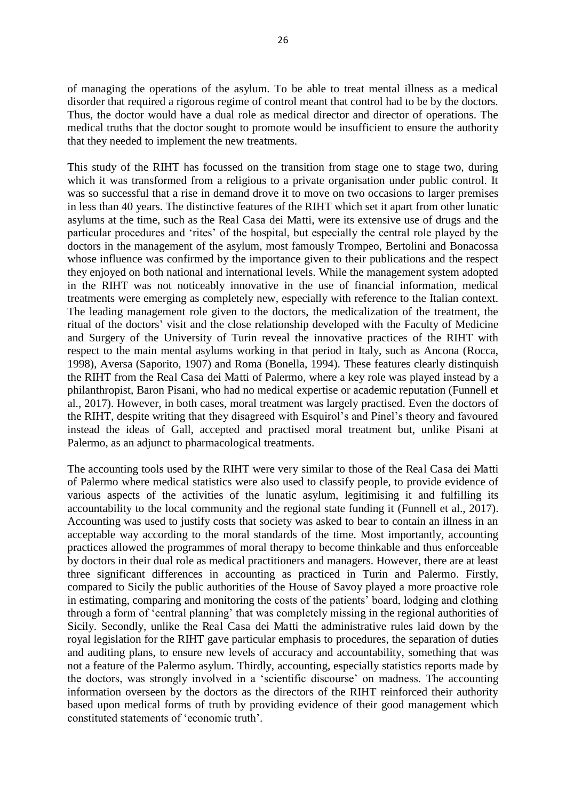of managing the operations of the asylum. To be able to treat mental illness as a medical disorder that required a rigorous regime of control meant that control had to be by the doctors. Thus, the doctor would have a dual role as medical director and director of operations. The medical truths that the doctor sought to promote would be insufficient to ensure the authority that they needed to implement the new treatments.

This study of the RIHT has focussed on the transition from stage one to stage two, during which it was transformed from a religious to a private organisation under public control. It was so successful that a rise in demand drove it to move on two occasions to larger premises in less than 40 years. The distinctive features of the RIHT which set it apart from other lunatic asylums at the time, such as the Real Casa dei Matti, were its extensive use of drugs and the particular procedures and 'rites' of the hospital, but especially the central role played by the doctors in the management of the asylum, most famously Trompeo, Bertolini and Bonacossa whose influence was confirmed by the importance given to their publications and the respect they enjoyed on both national and international levels. While the management system adopted in the RIHT was not noticeably innovative in the use of financial information, medical treatments were emerging as completely new, especially with reference to the Italian context. The leading management role given to the doctors, the medicalization of the treatment, the ritual of the doctors' visit and the close relationship developed with the Faculty of Medicine and Surgery of the University of Turin reveal the innovative practices of the RIHT with respect to the main mental asylums working in that period in Italy, such as Ancona (Rocca, 1998), Aversa (Saporito, 1907) and Roma (Bonella, 1994). These features clearly distinquish the RIHT from the Real Casa dei Matti of Palermo, where a key role was played instead by a philanthropist, Baron Pisani, who had no medical expertise or academic reputation (Funnell et al., 2017). However, in both cases, moral treatment was largely practised. Even the doctors of the RIHT, despite writing that they disagreed with Esquirol's and Pinel's theory and favoured instead the ideas of Gall, accepted and practised moral treatment but, unlike Pisani at Palermo, as an adjunct to pharmacological treatments.

The accounting tools used by the RIHT were very similar to those of the Real Casa dei Matti of Palermo where medical statistics were also used to classify people, to provide evidence of various aspects of the activities of the lunatic asylum, legitimising it and fulfilling its accountability to the local community and the regional state funding it (Funnell et al., 2017). Accounting was used to justify costs that society was asked to bear to contain an illness in an acceptable way according to the moral standards of the time. Most importantly, accounting practices allowed the programmes of moral therapy to become thinkable and thus enforceable by doctors in their dual role as medical practitioners and managers. However, there are at least three significant differences in accounting as practiced in Turin and Palermo. Firstly, compared to Sicily the public authorities of the House of Savoy played a more proactive role in estimating, comparing and monitoring the costs of the patients' board, lodging and clothing through a form of 'central planning' that was completely missing in the regional authorities of Sicily. Secondly, unlike the Real Casa dei Matti the administrative rules laid down by the royal legislation for the RIHT gave particular emphasis to procedures, the separation of duties and auditing plans, to ensure new levels of accuracy and accountability, something that was not a feature of the Palermo asylum. Thirdly, accounting, especially statistics reports made by the doctors, was strongly involved in a 'scientific discourse' on madness. The accounting information overseen by the doctors as the directors of the RIHT reinforced their authority based upon medical forms of truth by providing evidence of their good management which constituted statements of 'economic truth'.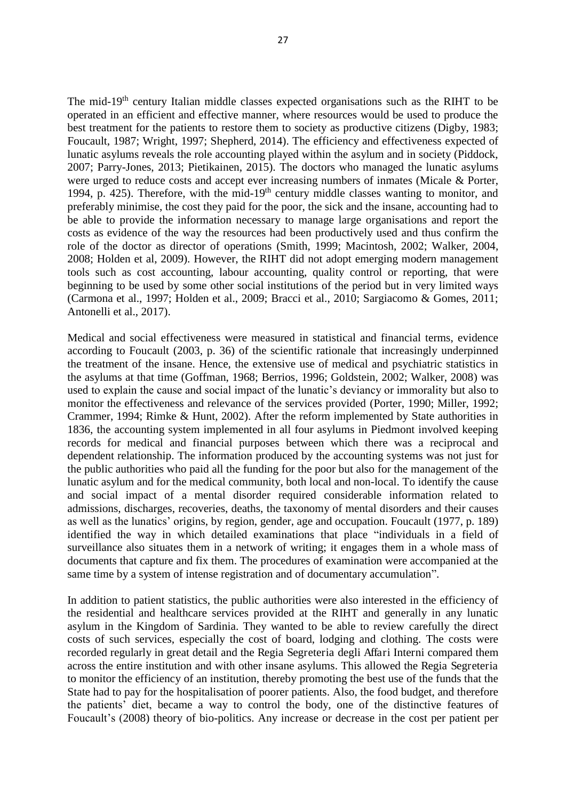The mid-19<sup>th</sup> century Italian middle classes expected organisations such as the RIHT to be operated in an efficient and effective manner, where resources would be used to produce the best treatment for the patients to restore them to society as productive citizens (Digby, 1983; Foucault, 1987; Wright, 1997; Shepherd, 2014). The efficiency and effectiveness expected of lunatic asylums reveals the role accounting played within the asylum and in society (Piddock, 2007; Parry-Jones, 2013; Pietikainen, 2015). The doctors who managed the lunatic asylums were urged to reduce costs and accept ever increasing numbers of inmates (Micale & Porter, 1994, p. 425). Therefore, with the mid-19<sup>th</sup> century middle classes wanting to monitor, and preferably minimise, the cost they paid for the poor, the sick and the insane, accounting had to be able to provide the information necessary to manage large organisations and report the costs as evidence of the way the resources had been productively used and thus confirm the role of the doctor as director of operations (Smith, 1999; Macintosh, 2002; Walker, 2004, 2008; Holden et al, 2009). However, the RIHT did not adopt emerging modern management tools such as cost accounting, labour accounting, quality control or reporting, that were beginning to be used by some other social institutions of the period but in very limited ways (Carmona et al., 1997; Holden et al., 2009; Bracci et al., 2010; Sargiacomo & Gomes, 2011; Antonelli et al., 2017).

Medical and social effectiveness were measured in statistical and financial terms, evidence according to Foucault (2003, p. 36) of the scientific rationale that increasingly underpinned the treatment of the insane. Hence, the extensive use of medical and psychiatric statistics in the asylums at that time (Goffman, 1968; Berrios, 1996; Goldstein, 2002; Walker, 2008) was used to explain the cause and social impact of the lunatic's deviancy or immorality but also to monitor the effectiveness and relevance of the services provided (Porter, 1990; Miller, 1992; Crammer, 1994; Rimke & Hunt, 2002). After the reform implemented by State authorities in 1836, the accounting system implemented in all four asylums in Piedmont involved keeping records for medical and financial purposes between which there was a reciprocal and dependent relationship. The information produced by the accounting systems was not just for the public authorities who paid all the funding for the poor but also for the management of the lunatic asylum and for the medical community, both local and non-local. To identify the cause and social impact of a mental disorder required considerable information related to admissions, discharges, recoveries, deaths, the taxonomy of mental disorders and their causes as well as the lunatics' origins, by region, gender, age and occupation. Foucault (1977, p. 189) identified the way in which detailed examinations that place "individuals in a field of surveillance also situates them in a network of writing; it engages them in a whole mass of documents that capture and fix them. The procedures of examination were accompanied at the same time by a system of intense registration and of documentary accumulation".

In addition to patient statistics, the public authorities were also interested in the efficiency of the residential and healthcare services provided at the RIHT and generally in any lunatic asylum in the Kingdom of Sardinia. They wanted to be able to review carefully the direct costs of such services, especially the cost of board, lodging and clothing. The costs were recorded regularly in great detail and the Regia Segreteria degli Affari Interni compared them across the entire institution and with other insane asylums. This allowed the Regia Segreteria to monitor the efficiency of an institution, thereby promoting the best use of the funds that the State had to pay for the hospitalisation of poorer patients. Also, the food budget, and therefore the patients' diet, became a way to control the body, one of the distinctive features of Foucault's (2008) theory of bio-politics. Any increase or decrease in the cost per patient per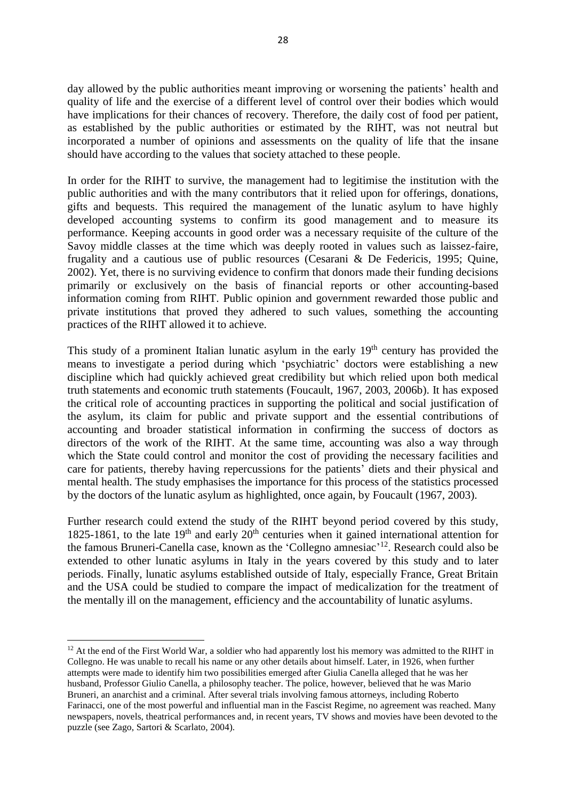day allowed by the public authorities meant improving or worsening the patients' health and quality of life and the exercise of a different level of control over their bodies which would have implications for their chances of recovery. Therefore, the daily cost of food per patient, as established by the public authorities or estimated by the RIHT, was not neutral but incorporated a number of opinions and assessments on the quality of life that the insane should have according to the values that society attached to these people.

In order for the RIHT to survive, the management had to legitimise the institution with the public authorities and with the many contributors that it relied upon for offerings, donations, gifts and bequests. This required the management of the lunatic asylum to have highly developed accounting systems to confirm its good management and to measure its performance. Keeping accounts in good order was a necessary requisite of the culture of the Savoy middle classes at the time which was deeply rooted in values such as laissez-faire, frugality and a cautious use of public resources (Cesarani & De Federicis, 1995; Quine, 2002). Yet, there is no surviving evidence to confirm that donors made their funding decisions primarily or exclusively on the basis of financial reports or other accounting-based information coming from RIHT. Public opinion and government rewarded those public and private institutions that proved they adhered to such values, something the accounting practices of the RIHT allowed it to achieve.

This study of a prominent Italian lunatic asylum in the early 19<sup>th</sup> century has provided the means to investigate a period during which 'psychiatric' doctors were establishing a new discipline which had quickly achieved great credibility but which relied upon both medical truth statements and economic truth statements (Foucault, 1967, 2003, 2006b). It has exposed the critical role of accounting practices in supporting the political and social justification of the asylum, its claim for public and private support and the essential contributions of accounting and broader statistical information in confirming the success of doctors as directors of the work of the RIHT. At the same time, accounting was also a way through which the State could control and monitor the cost of providing the necessary facilities and care for patients, thereby having repercussions for the patients' diets and their physical and mental health. The study emphasises the importance for this process of the statistics processed by the doctors of the lunatic asylum as highlighted, once again, by Foucault (1967, 2003).

Further research could extend the study of the RIHT beyond period covered by this study, 1825-1861, to the late 19<sup>th</sup> and early 20<sup>th</sup> centuries when it gained international attention for the famous Bruneri-Canella case, known as the 'Collegno amnesiac'<sup>12</sup>. Research could also be extended to other lunatic asylums in Italy in the years covered by this study and to later periods. Finally, lunatic asylums established outside of Italy, especially France, Great Britain and the USA could be studied to compare the impact of medicalization for the treatment of the mentally ill on the management, efficiency and the accountability of lunatic asylums.

l

 $12$  At the end of the First World War, a soldier who had apparently lost his memory was admitted to the RIHT in Collegno. He was unable to recall his name or any other details about himself. Later, in 1926, when further attempts were made to identify him two possibilities emerged after Giulia Canella alleged that he was her husband, Professor Giulio Canella, a philosophy teacher. The police, however, believed that he was Mario Bruneri, an anarchist and a criminal. After several trials involving famous attorneys, including Roberto Farinacci, one of the most powerful and influential man in the Fascist Regime, no agreement was reached. Many newspapers, novels, theatrical performances and, in recent years, TV shows and movies have been devoted to the puzzle (see Zago, Sartori & Scarlato, 2004).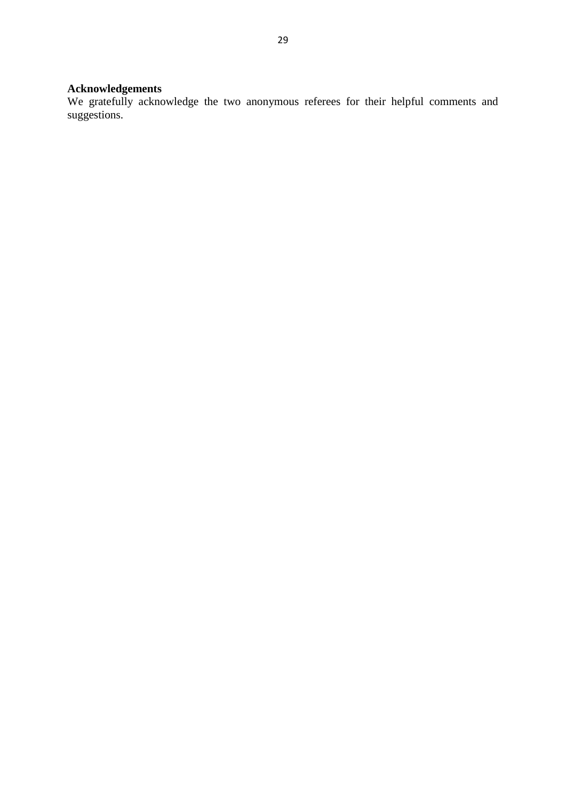#### **Acknowledgements**

We gratefully acknowledge the two anonymous referees for their helpful comments and suggestions.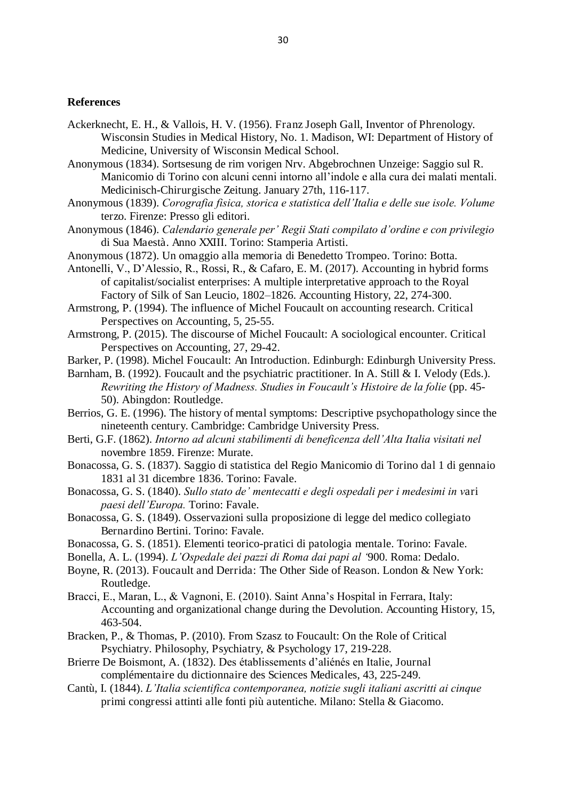#### **References**

- Ackerknecht, E. H., & Vallois, H. V. (1956). Franz Joseph Gall, Inventor of Phrenology. Wisconsin Studies in Medical History, No. 1. Madison, WI: Department of History of Medicine, University of Wisconsin Medical School.
- Anonymous (1834). Sortsesung de rim vorigen Nrv. Abgebrochnen Unzeige: Saggio sul R. Manicomio di Torino con alcuni cenni intorno all'indole e alla cura dei malati mentali. Medicinisch-Chirurgische Zeitung. January 27th, 116-117.
- Anonymous (1839). *Corografia fisica, storica e statistica dell'Italia e delle sue isole. Volume*  terzo. Firenze: Presso gli editori.
- Anonymous (1846). *Calendario generale per' Regii Stati compilato d'ordine e con privilegio*  di Sua Maestà. Anno XXIII. Torino: Stamperia Artisti.
- Anonymous (1872). Un omaggio alla memoria di Benedetto Trompeo. Torino: Botta.
- Antonelli, V., D'Alessio, R., Rossi, R., & Cafaro, E. M. (2017). Accounting in hybrid forms of capitalist/socialist enterprises: A multiple interpretative approach to the Royal Factory of Silk of San Leucio, 1802–1826. Accounting History, 22, 274-300.
- Armstrong, P. (1994). The influence of Michel Foucault on accounting research. Critical Perspectives on Accounting, 5, 25-55.
- Armstrong, P. (2015). The discourse of Michel Foucault: A sociological encounter. Critical Perspectives on Accounting, 27, 29-42.
- Barker, P. (1998). Michel Foucault: An Introduction. Edinburgh: Edinburgh University Press.
- Barnham, B. (1992). Foucault and the psychiatric practitioner. In A. Still & I. Velody (Eds.). *Rewriting the History of Madness. Studies in Foucault's Histoire de la folie* (pp. 45- 50). Abingdon: Routledge.
- Berrios, G. E. (1996). The history of mental symptoms: Descriptive psychopathology since the nineteenth century. Cambridge: Cambridge University Press.
- Berti, G.F. (1862). *Intorno ad alcuni stabilimenti di beneficenza dell'Alta Italia visitati nel* novembre 1859. Firenze: Murate.
- Bonacossa, G. S. (1837). Saggio di statistica del Regio Manicomio di Torino dal 1 di gennaio 1831 al 31 dicembre 1836. Torino: Favale.
- Bonacossa, G. S. (1840). *Sullo stato de' mentecatti e degli ospedali per i medesimi in v*ari *paesi dell'Europa.* Torino: Favale.
- Bonacossa, G. S. (1849). Osservazioni sulla proposizione di legge del medico collegiato Bernardino Bertini. Torino: Favale.
- Bonacossa, G. S. (1851). Elementi teorico-pratici di patologia mentale. Torino: Favale.
- Bonella, A. L. (1994). *L'Ospedale dei pazzi di Roma dai papi al '*900. Roma: Dedalo.
- Boyne, R. (2013). Foucault and Derrida: The Other Side of Reason. London & New York: Routledge.
- Bracci, E., Maran, L., & Vagnoni, E. (2010). Saint Anna's Hospital in Ferrara, Italy: Accounting and organizational change during the Devolution. Accounting History, 15, 463-504.
- Bracken, P., & Thomas, P. (2010). From Szasz to Foucault: On the Role of Critical Psychiatry. Philosophy, Psychiatry, & Psychology 17, 219-228.
- Brierre De Boismont, A. (1832). Des établissements d'aliénés en Italie, Journal complémentaire du dictionnaire des Sciences Medicales, 43, 225-249.
- Cantù, I. (1844). *L'Italia scientifica contemporanea, notizie sugli italiani ascritti ai cinque*  primi congressi attinti alle fonti più autentiche. Milano: Stella & Giacomo.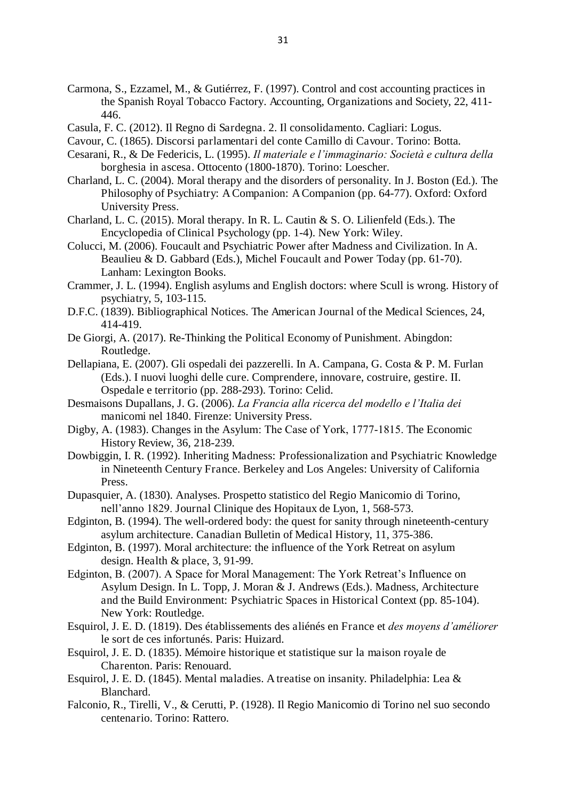- Carmona, S., Ezzamel, M., & Gutiérrez, F. (1997). Control and cost accounting practices in the Spanish Royal Tobacco Factory. Accounting, Organizations and Society, 22, 411- 446.
- Casula, F. C. (2012). Il Regno di Sardegna. 2. Il consolidamento. Cagliari: Logus.
- Cavour, C. (1865). Discorsi parlamentari del conte Camillo di Cavour. Torino: Botta.
- Cesarani, R., & De Federicis, L. (1995). *Il materiale e l'immaginario: Società e cultura della*  borghesia in ascesa. Ottocento (1800-1870). Torino: Loescher.
- Charland, L. C. (2004). Moral therapy and the disorders of personality. In J. Boston (Ed.). The Philosophy of Psychiatry: A Companion: A Companion (pp. 64-77). Oxford: Oxford University Press.
- Charland, L. C. (2015). Moral therapy. In R. L. Cautin & S. O. Lilienfeld (Eds.). The Encyclopedia of Clinical Psychology (pp. 1-4). New York: Wiley.
- Colucci, M. (2006). Foucault and Psychiatric Power after Madness and Civilization. In A. Beaulieu & D. Gabbard (Eds.), Michel Foucault and Power Today (pp. 61-70). Lanham: Lexington Books.
- Crammer, J. L. (1994). English asylums and English doctors: where Scull is wrong. History of psychiatry, 5, 103-115.
- D.F.C. (1839). Bibliographical Notices. The American Journal of the Medical Sciences, 24, 414-419.
- De Giorgi, A. (2017). Re-Thinking the Political Economy of Punishment. Abingdon: Routledge.
- Dellapiana, E. (2007). Gli ospedali dei pazzerelli. In A. Campana, G. Costa & P. M. Furlan (Eds.). I nuovi luoghi delle cure. Comprendere, innovare, costruire, gestire. II. Ospedale e territorio (pp. 288-293). Torino: Celid.
- Desmaisons Dupallans, J. G. (2006). *La Francia alla ricerca del modello e l'Italia dei*  manicomi nel 1840. Firenze: University Press.
- Digby, A. (1983). Changes in the Asylum: The Case of York, 1777-1815. The Economic History Review, 36, 218-239.
- Dowbiggin, I. R. (1992). Inheriting Madness: Professionalization and Psychiatric Knowledge in Nineteenth Century France. Berkeley and Los Angeles: University of California Press.
- Dupasquier, A. (1830). Analyses. Prospetto statistico del Regio Manicomio di Torino, nell'anno 1829. Journal Clinique des Hopitaux de Lyon, 1, 568-573.
- Edginton, B. (1994). The well-ordered body: the quest for sanity through nineteenth-century asylum architecture. Canadian Bulletin of Medical History, 11, 375-386.
- Edginton, B. (1997). Moral architecture: the influence of the York Retreat on asylum design. Health & place, 3, 91-99.
- Edginton, B. (2007). A Space for Moral Management: The York Retreat's Influence on Asylum Design. In L. Topp, J. Moran & J. Andrews (Eds.). Madness, Architecture and the Build Environment: Psychiatric Spaces in Historical Context (pp. 85-104). New York: Routledge.
- Esquirol, J. E. D. (1819). Des établissements des aliénés en France et *des moyens d'améliorer*  le sort de ces infortunés. Paris: Huizard.
- Esquirol, J. E. D. (1835). Mémoire historique et statistique sur la maison royale de Charenton. Paris: Renouard.
- Esquirol, J. E. D. (1845). Mental maladies. A treatise on insanity. Philadelphia: Lea & Blanchard.
- Falconio, R., Tirelli, V., & Cerutti, P. (1928). Il Regio Manicomio di Torino nel suo secondo centenario. Torino: Rattero.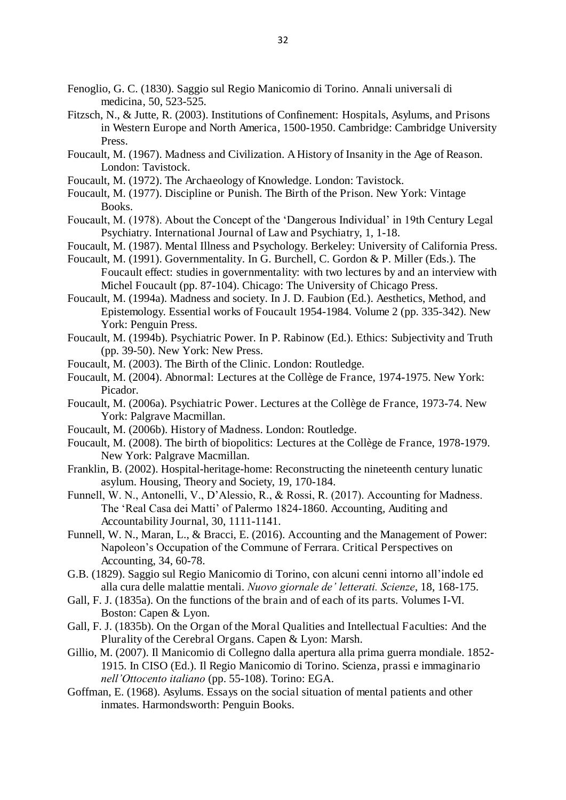- Fenoglio, G. C. (1830). Saggio sul Regio Manicomio di Torino. Annali universali di medicina, 50, 523-525.
- Fitzsch, N., & Jutte, R. (2003). Institutions of Confinement: Hospitals, Asylums, and Prisons in Western Europe and North America, 1500-1950. Cambridge: Cambridge University Press.
- Foucault, M. (1967). Madness and Civilization. A History of Insanity in the Age of Reason. London: Tavistock.
- Foucault, M. (1972). The Archaeology of Knowledge. London: Tavistock.
- Foucault, M. (1977). Discipline or Punish. The Birth of the Prison. New York: Vintage Books.
- Foucault, M. (1978). About the Concept of the 'Dangerous Individual' in 19th Century Legal Psychiatry. International Journal of Law and Psychiatry, 1, 1-18.
- Foucault, M. (1987). Mental Illness and Psychology. Berkeley: University of California Press.
- Foucault, M. (1991). Governmentality. In G. Burchell, C. Gordon & P. Miller (Eds.). The Foucault effect: studies in governmentality: with two lectures by and an interview with Michel Foucault (pp. 87-104). Chicago: The University of Chicago Press.
- Foucault, M. (1994a). Madness and society. In J. D. Faubion (Ed.). Aesthetics, Method, and Epistemology. Essential works of Foucault 1954-1984. Volume 2 (pp. 335-342). New York: Penguin Press.
- Foucault, M. (1994b). Psychiatric Power. In P. Rabinow (Ed.). Ethics: Subjectivity and Truth (pp. 39-50). New York: New Press.
- Foucault, M. (2003). The Birth of the Clinic. London: Routledge.
- Foucault, M. (2004). Abnormal: Lectures at the Collège de France, 1974-1975. New York: Picador.
- Foucault, M. (2006a). Psychiatric Power. Lectures at the Collège de France, 1973-74. New York: Palgrave Macmillan.
- Foucault, M. (2006b). History of Madness. London: Routledge.
- Foucault, M. (2008). The birth of biopolitics: Lectures at the Collège de France, 1978-1979. New York: Palgrave Macmillan.
- Franklin, B. (2002). Hospital-heritage-home: Reconstructing the nineteenth century lunatic asylum. Housing, Theory and Society, 19, 170-184.
- Funnell, W. N., Antonelli, V., D'Alessio, R., & Rossi, R. (2017). Accounting for Madness. The 'Real Casa dei Matti' of Palermo 1824-1860. Accounting, Auditing and Accountability Journal, 30, 1111-1141.
- Funnell, W. N., Maran, L., & Bracci, E. (2016). Accounting and the Management of Power: Napoleon's Occupation of the Commune of Ferrara. Critical Perspectives on Accounting, 34, 60-78.
- G.B. (1829). Saggio sul Regio Manicomio di Torino, con alcuni cenni intorno all'indole ed alla cura delle malattie mentali. *Nuovo giornale de' letterati. Scienze*, 18, 168-175.
- Gall, F. J. (1835a). On the functions of the brain and of each of its parts. Volumes I-VI. Boston: Capen & Lyon.
- Gall, F. J. (1835b). On the Organ of the Moral Qualities and Intellectual Faculties: And the Plurality of the Cerebral Organs. Capen & Lyon: Marsh.
- Gillio, M. (2007). Il Manicomio di Collegno dalla apertura alla prima guerra mondiale. 1852- 1915. In CISO (Ed.). Il Regio Manicomio di Torino. Scienza, prassi e immaginario *nell'Ottocento italiano* (pp. 55-108). Torino: EGA.
- Goffman, E. (1968). Asylums. Essays on the social situation of mental patients and other inmates. Harmondsworth: Penguin Books.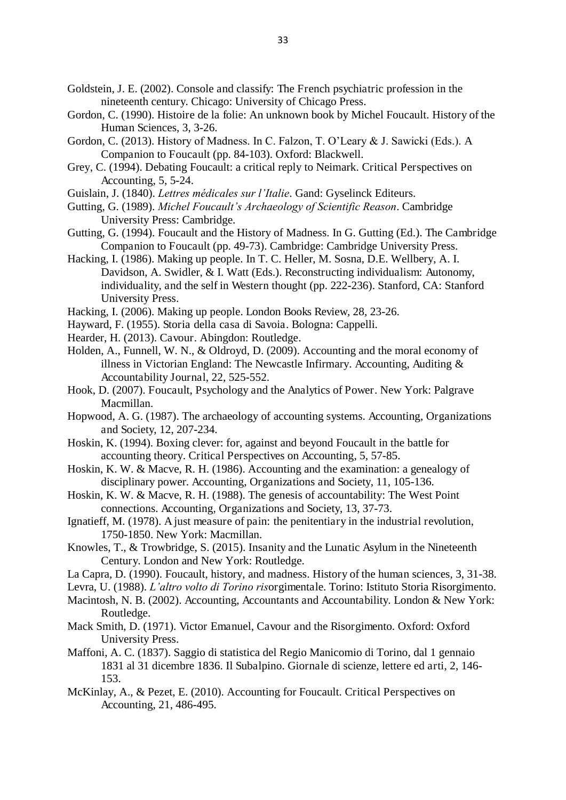- Goldstein, J. E. (2002). Console and classify: The French psychiatric profession in the nineteenth century. Chicago: University of Chicago Press.
- Gordon, C. (1990). Histoire de la folie: An unknown book by Michel Foucault. History of the Human Sciences, 3, 3-26.
- Gordon, C. (2013). History of Madness. In C. Falzon, T. O'Leary & J. Sawicki (Eds.). A Companion to Foucault (pp. 84-103). Oxford: Blackwell.
- Grey, C. (1994). Debating Foucault: a critical reply to Neimark. Critical Perspectives on Accounting, 5, 5-24.
- Guislain, J. (1840). *Lettres médicales sur l'Italie*. Gand: Gyselinck Editeurs.
- Gutting, G. (1989). *Michel Foucault's Archaeology of Scientific Reason*. Cambridge University Press: Cambridge.
- Gutting, G. (1994). Foucault and the History of Madness. In G. Gutting (Ed.). The Cambridge Companion to Foucault (pp. 49-73). Cambridge: Cambridge University Press.
- Hacking, I. (1986). Making up people. In T. C. Heller, M. Sosna, D.E. Wellbery, A. I. Davidson, A. Swidler, & I. Watt (Eds.). Reconstructing individualism: Autonomy, individuality, and the self in Western thought (pp. 222-236). Stanford, CA: Stanford University Press.
- Hacking, I. (2006). Making up people. London Books Review, 28, 23-26.
- Hayward, F. (1955). Storia della casa di Savoia. Bologna: Cappelli.
- Hearder, H. (2013). Cavour. Abingdon: Routledge.
- Holden, A., Funnell, W. N., & Oldroyd, D. (2009). Accounting and the moral economy of illness in Victorian England: The Newcastle Infirmary. Accounting, Auditing & Accountability Journal, 22, 525-552.
- Hook, D. (2007). Foucault, Psychology and the Analytics of Power. New York: Palgrave Macmillan.
- Hopwood, A. G. (1987). The archaeology of accounting systems. Accounting, Organizations and Society, 12, 207-234.
- Hoskin, K. (1994). Boxing clever: for, against and beyond Foucault in the battle for accounting theory. Critical Perspectives on Accounting, 5, 57-85.
- Hoskin, K. W. & Macve, R. H. (1986). Accounting and the examination: a genealogy of disciplinary power. Accounting, Organizations and Society, 11, 105-136.
- Hoskin, K. W. & Macve, R. H. (1988). The genesis of accountability: The West Point connections. Accounting, Organizations and Society, 13, 37-73.
- Ignatieff, M. (1978). A just measure of pain: the penitentiary in the industrial revolution, 1750-1850. New York: Macmillan.
- Knowles, T., & Trowbridge, S. (2015). Insanity and the Lunatic Asylum in the Nineteenth Century. London and New York: Routledge.
- La Capra, D. (1990). Foucault, history, and madness. History of the human sciences, 3, 31-38.
- Levra, U. (1988). *L'altro volto di Torino ris*orgimentale. Torino: Istituto Storia Risorgimento.
- Macintosh, N. B. (2002). Accounting, Accountants and Accountability. London & New York: Routledge.
- Mack Smith, D. (1971). Victor Emanuel, Cavour and the Risorgimento. Oxford: Oxford University Press.
- Maffoni, A. C. (1837). Saggio di statistica del Regio Manicomio di Torino, dal 1 gennaio 1831 al 31 dicembre 1836. Il Subalpino. Giornale di scienze, lettere ed arti, 2, 146- 153.
- McKinlay, A., & Pezet, E. (2010). Accounting for Foucault. Critical Perspectives on Accounting, 21, 486-495.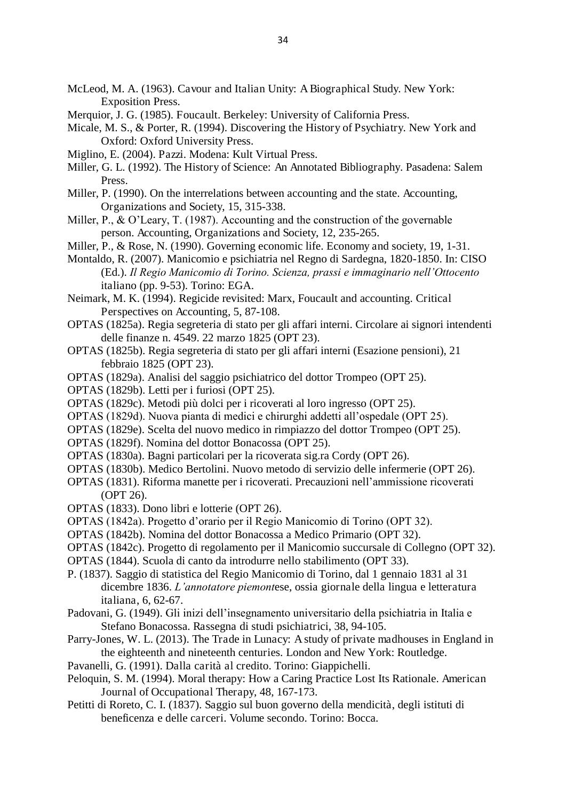- McLeod, M. A. (1963). Cavour and Italian Unity: A Biographical Study. New York: Exposition Press.
- Merquior, J. G. (1985). Foucault. Berkeley: University of California Press.
- Micale, M. S., & Porter, R. (1994). Discovering the History of Psychiatry. New York and Oxford: Oxford University Press.
- Miglino, E. (2004). Pazzi. Modena: Kult Virtual Press.
- Miller, G. L. (1992). The History of Science: An Annotated Bibliography. Pasadena: Salem Press.
- Miller, P. (1990). On the interrelations between accounting and the state. Accounting, Organizations and Society, 15, 315-338.
- Miller, P., & O'Leary, T. (1987). Accounting and the construction of the governable person. Accounting, Organizations and Society, 12, 235-265.
- Miller, P., & Rose, N. (1990). Governing economic life. Economy and society, 19, 1-31.
- Montaldo, R. (2007). Manicomio e psichiatria nel Regno di Sardegna, 1820-1850. In: CISO (Ed.). *Il Regio Manicomio di Torino. Scienza, prassi e immaginario nell'Ottocento*  italiano (pp. 9-53). Torino: EGA.
- Neimark, M. K. (1994). Regicide revisited: Marx, Foucault and accounting. Critical Perspectives on Accounting, 5, 87-108.
- OPTAS (1825a). Regia segreteria di stato per gli affari interni. Circolare ai signori intendenti delle finanze n. 4549. 22 marzo 1825 (OPT 23).
- OPTAS (1825b). Regia segreteria di stato per gli affari interni (Esazione pensioni), 21 febbraio 1825 (OPT 23).
- OPTAS (1829a). Analisi del saggio psichiatrico del dottor Trompeo (OPT 25).
- OPTAS (1829b). Letti per i furiosi (OPT 25).
- OPTAS (1829c). Metodi più dolci per i ricoverati al loro ingresso (OPT 25).
- OPTAS (1829d). Nuova pianta di medici e chirurghi addetti all'ospedale (OPT 25).
- OPTAS (1829e). Scelta del nuovo medico in rimpiazzo del dottor Trompeo (OPT 25).
- OPTAS (1829f). Nomina del dottor Bonacossa (OPT 25).
- OPTAS (1830a). Bagni particolari per la ricoverata sig.ra Cordy (OPT 26).
- OPTAS (1830b). Medico Bertolini. Nuovo metodo di servizio delle infermerie (OPT 26).
- OPTAS (1831). Riforma manette per i ricoverati. Precauzioni nell'ammissione ricoverati (OPT 26).
- OPTAS (1833). Dono libri e lotterie (OPT 26).
- OPTAS (1842a). Progetto d'orario per il Regio Manicomio di Torino (OPT 32).
- OPTAS (1842b). Nomina del dottor Bonacossa a Medico Primario (OPT 32).
- OPTAS (1842c). Progetto di regolamento per il Manicomio succursale di Collegno (OPT 32).
- OPTAS (1844). Scuola di canto da introdurre nello stabilimento (OPT 33).
- P. (1837). Saggio di statistica del Regio Manicomio di Torino, dal 1 gennaio 1831 al 31 dicembre 1836. *L'annotatore piemont*ese, ossia giornale della lingua e letteratura italiana, 6, 62-67.
- Padovani, G. (1949). Gli inizi dell'insegnamento universitario della psichiatria in Italia e Stefano Bonacossa. Rassegna di studi psichiatrici, 38, 94-105.
- Parry-Jones, W. L. (2013). The Trade in Lunacy: A study of private madhouses in England in the eighteenth and nineteenth centuries. London and New York: Routledge.
- Pavanelli, G. (1991). Dalla carità al credito. Torino: Giappichelli.
- Peloquin, S. M. (1994). Moral therapy: How a Caring Practice Lost Its Rationale. American Journal of Occupational Therapy, 48, 167-173.
- Petitti di Roreto, C. I. (1837). Saggio sul buon governo della mendicità, degli istituti di beneficenza e delle carceri. Volume secondo. Torino: Bocca.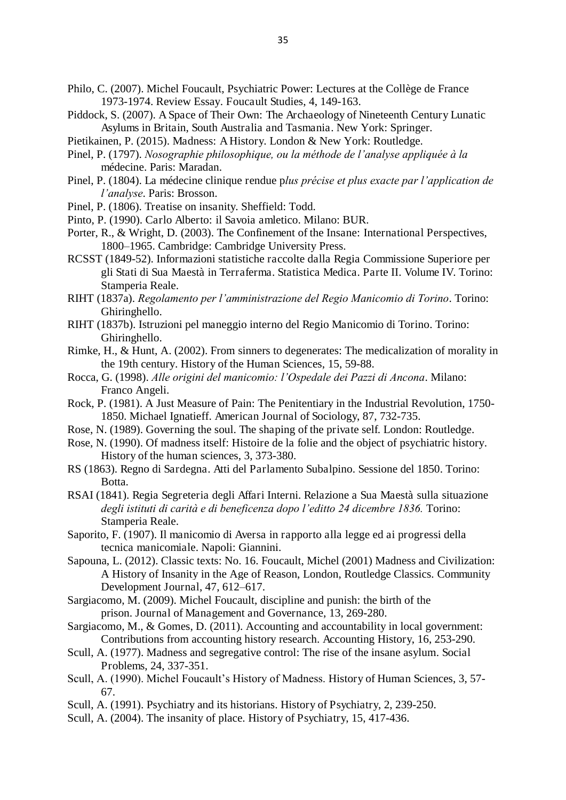- Philo, C. (2007). Michel Foucault, Psychiatric Power: Lectures at the Collège de France 1973-1974. Review Essay. Foucault Studies, 4, 149-163.
- Piddock, S. (2007). A Space of Their Own: The Archaeology of Nineteenth Century Lunatic Asylums in Britain, South Australia and Tasmania. New York: Springer.
- Pietikainen, P. (2015). Madness: A History. London & New York: Routledge.
- Pinel, P. (1797). *Nosographie philosophique, ou la méthode de l'analyse appliquée à la*  médecine. Paris: Maradan.
- Pinel, P. (1804). La médecine clinique rendue p*lus précise et plus exacte par l'application de l'analyse*. Paris: Brosson.
- Pinel, P. (1806). Treatise on insanity. Sheffield: Todd.
- Pinto, P. (1990). Carlo Alberto: il Savoia amletico. Milano: BUR.
- Porter, R., & Wright, D. (2003). The Confinement of the Insane: International Perspectives, 1800*–*1965. Cambridge: Cambridge University Press.
- RCSST (1849-52). Informazioni statistiche raccolte dalla Regia Commissione Superiore per gli Stati di Sua Maestà in Terraferma. Statistica Medica. Parte II. Volume IV. Torino: Stamperia Reale.
- RIHT (1837a). *Regolamento per l'amministrazione del Regio Manicomio di Torino*. Torino: Ghiringhello.
- RIHT (1837b). Istruzioni pel maneggio interno del Regio Manicomio di Torino. Torino: Ghiringhello.
- Rimke, H., & Hunt, A. (2002). From sinners to degenerates: The medicalization of morality in the 19th century. History of the Human Sciences, 15, 59-88.
- Rocca, G. (1998). *Alle origini del manicomio: l'Ospedale dei Pazzi di Ancona*. Milano: Franco Angeli.
- Rock, P. (1981). A Just Measure of Pain: The Penitentiary in the Industrial Revolution, 1750- 1850. Michael Ignatieff. American Journal of Sociology, 87, 732-735.
- Rose, N. (1989). Governing the soul. The shaping of the private self. London: Routledge.
- Rose, N. (1990). Of madness itself: Histoire de la folie and the object of psychiatric history. History of the human sciences, 3, 373-380.
- RS (1863). Regno di Sardegna. Atti del Parlamento Subalpino. Sessione del 1850. Torino: Botta.
- RSAI (1841). Regia Segreteria degli Affari Interni. Relazione a Sua Maestà sulla situazione *degli istituti di carità e di beneficenza dopo l'editto 24 dicembre 1836.* Torino: Stamperia Reale.
- Saporito, F. (1907). Il manicomio di Aversa in rapporto alla legge ed ai progressi della tecnica manicomiale. Napoli: Giannini.
- Sapouna, L. (2012). Classic texts: No. 16. Foucault, Michel (2001) Madness and Civilization: A History of Insanity in the Age of Reason, London, Routledge Classics. Community Development Journal, 47, 612–617.
- Sargiacomo, M. (2009). Michel Foucault, discipline and punish: the birth of the prison. Journal of Management and Governance, 13, 269-280.
- Sargiacomo, M., & Gomes, D. (2011). Accounting and accountability in local government: Contributions from accounting history research. Accounting History, 16, 253-290.
- Scull, A. (1977). Madness and segregative control: The rise of the insane asylum. Social Problems, 24, 337-351.
- Scull, A. (1990). Michel Foucault's History of Madness. History of Human Sciences, 3, 57- 67.
- Scull, A. (1991). Psychiatry and its historians. History of Psychiatry, 2, 239-250.
- Scull, A. (2004). The insanity of place. History of Psychiatry, 15, 417-436.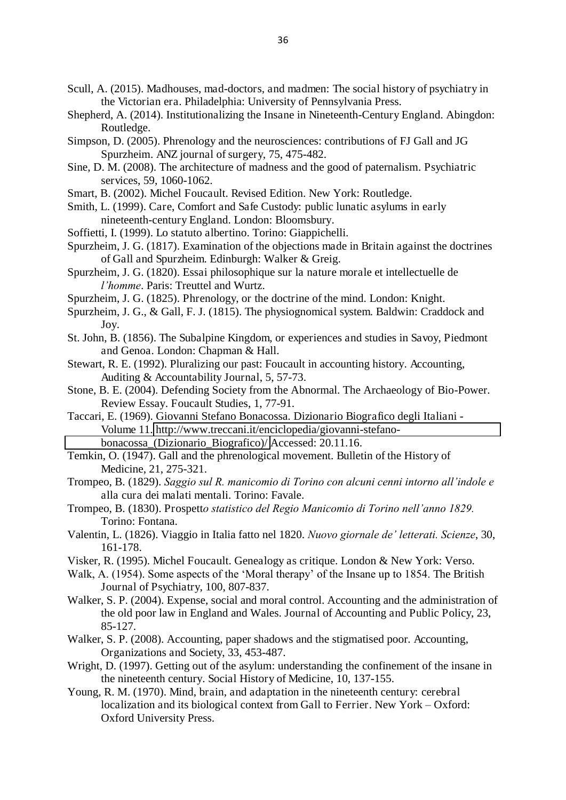- Scull, A. (2015). Madhouses, mad-doctors, and madmen: The social history of psychiatry in the Victorian era. Philadelphia: University of Pennsylvania Press.
- Shepherd, A. (2014). Institutionalizing the Insane in Nineteenth-Century England. Abingdon: Routledge.
- Simpson, D. (2005). Phrenology and the neurosciences: contributions of FJ Gall and JG Spurzheim. ANZ journal of surgery, 75, 475-482.
- Sine, D. M. (2008). The architecture of madness and the good of paternalism. Psychiatric services, 59, 1060-1062.
- Smart, B. (2002). Michel Foucault. Revised Edition. New York: Routledge.
- Smith, L. (1999). Care, Comfort and Safe Custody: public lunatic asylums in early nineteenth-century England. London: Bloomsbury.
- Soffietti, I. (1999). Lo statuto albertino. Torino: Giappichelli.
- Spurzheim, J. G. (1817). Examination of the objections made in Britain against the doctrines of Gall and Spurzheim. Edinburgh: Walker & Greig.
- Spurzheim, J. G. (1820). Essai philosophique sur la nature morale et intellectuelle de *l'homme*. Paris: Treuttel and Wurtz.
- Spurzheim, J. G. (1825). Phrenology, or the doctrine of the mind. London: Knight.
- Spurzheim, J. G., & Gall, F. J. (1815). The physiognomical system. Baldwin: Craddock and Joy.
- St. John, B. (1856). The Subalpine Kingdom, or experiences and studies in Savoy, Piedmont and Genoa. London: Chapman & Hall.
- Stewart, R. E. (1992). Pluralizing our past: Foucault in accounting history. Accounting, Auditing & Accountability Journal, 5, 57-73.
- Stone, B. E. (2004). Defending Society from the Abnormal. The Archaeology of Bio-Power. Review Essay. Foucault Studies, 1, 77-91.
- Taccari, E. (1969). Giovanni Stefano Bonacossa. Dizionario Biografico degli Italiani Volume 11. [http://www.treccani.it/enciclopedia/giovanni-stefano](http://www.treccani.it/enciclopedia/giovanni-stefano-bonacossa_(Dizionario_Biografico)/)[bonacossa\\_\(Dizionario\\_Biografico\)/](http://www.treccani.it/enciclopedia/giovanni-stefano-bonacossa_(Dizionario_Biografico)/) Accessed: 20.11.16.
- Temkin, O. (1947). Gall and the phrenological movement. Bulletin of the History of Medicine, 21, 275-321.
- Trompeo, B. (1829). *Saggio sul R. manicomio di Torino con alcuni cenni intorno all'indole e*  alla cura dei malati mentali. Torino: Favale.
- Trompeo, B. (1830). Prospett*o statistico del Regio Manicomio di Torino nell'anno 1829.* Torino: Fontana.
- Valentin, L. (1826). Viaggio in Italia fatto nel 1820. *Nuovo giornale de' letterati. Scienze*, 30, 161-178.
- Visker, R. (1995). Michel Foucault. Genealogy as critique. London & New York: Verso.
- Walk, A. (1954). Some aspects of the 'Moral therapy' of the Insane up to 1854. The British Journal of Psychiatry, 100, 807-837.
- Walker, S. P. (2004). Expense, social and moral control. Accounting and the administration of the old poor law in England and Wales. Journal of Accounting and Public Policy, 23, 85-127.
- Walker, S. P. (2008). Accounting, paper shadows and the stigmatised poor. Accounting, Organizations and Society, 33, 453-487.
- Wright, D. (1997). Getting out of the asylum: understanding the confinement of the insane in the nineteenth century. Social History of Medicine, 10, 137-155.
- Young, R. M. (1970). Mind, brain, and adaptation in the nineteenth century: cerebral localization and its biological context from Gall to Ferrier. New York – Oxford: Oxford University Press.